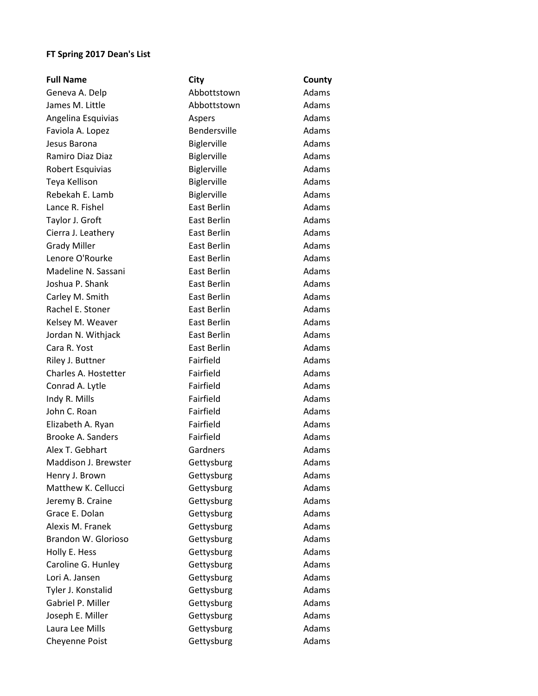## **FT Spring 2017 Dean's List**

| <b>Full Name</b>     | City               | County       |
|----------------------|--------------------|--------------|
| Geneva A. Delp       | Abbottstown        | Adams        |
| James M. Little      | Abbottstown        | Adams        |
| Angelina Esquivias   | Aspers             | Adams        |
| Faviola A. Lopez     | Bendersville       | Adams        |
| Jesus Barona         | Biglerville        | Adams        |
| Ramiro Diaz Diaz     | Biglerville        | <b>Adams</b> |
| Robert Esquivias     | Biglerville        | Adams        |
| Teya Kellison        | Biglerville        | Adams        |
| Rebekah E. Lamb      | Biglerville        | Adams        |
| Lance R. Fishel      | East Berlin        | Adams        |
| Taylor J. Groft      | East Berlin        | Adams        |
| Cierra J. Leathery   | <b>East Berlin</b> | Adams        |
| <b>Grady Miller</b>  | <b>East Berlin</b> | Adams        |
| Lenore O'Rourke      | East Berlin        | Adams        |
| Madeline N. Sassani  | <b>East Berlin</b> | Adams        |
| Joshua P. Shank      | <b>East Berlin</b> | Adams        |
| Carley M. Smith      | <b>East Berlin</b> | Adams        |
| Rachel E. Stoner     | <b>East Berlin</b> | Adams        |
| Kelsey M. Weaver     | East Berlin        | Adams        |
| Jordan N. Withjack   | East Berlin        | Adams        |
| Cara R. Yost         | East Berlin        | Adams        |
| Riley J. Buttner     | Fairfield          | Adams        |
| Charles A. Hostetter | Fairfield          | Adams        |
| Conrad A. Lytle      | Fairfield          | Adams        |
| Indy R. Mills        | Fairfield          | Adams        |
| John C. Roan         | Fairfield          | Adams        |
| Elizabeth A. Ryan    | Fairfield          | Adams        |
| Brooke A. Sanders    | Fairfield          | Adams        |
| Alex T. Gebhart      | Gardners           | <b>Adams</b> |
| Maddison J. Brewster | Gettysburg         | Adams        |
| Henry J. Brown       | Gettysburg         | Adams        |
| Matthew K. Cellucci  | Gettysburg         | Adams        |
| Jeremy B. Craine     | Gettysburg         | Adams        |
| Grace E. Dolan       | Gettysburg         | Adams        |
| Alexis M. Franek     | Gettysburg         | Adams        |
| Brandon W. Glorioso  | Gettysburg         | Adams        |
| Holly E. Hess        | Gettysburg         | Adams        |
| Caroline G. Hunley   | Gettysburg         | Adams        |
| Lori A. Jansen       | Gettysburg         | Adams        |
| Tyler J. Konstalid   | Gettysburg         | Adams        |
| Gabriel P. Miller    | Gettysburg         | Adams        |
| Joseph E. Miller     | Gettysburg         | Adams        |
| Laura Lee Mills      | Gettysburg         | Adams        |
| Cheyenne Poist       | Gettysburg         | Adams        |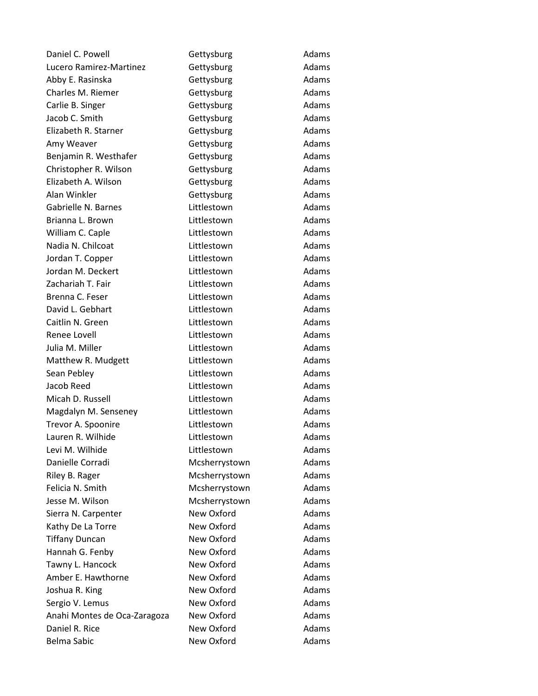| Daniel C. Powell             | Gettysburg    | Adams |
|------------------------------|---------------|-------|
| Lucero Ramirez-Martinez      | Gettysburg    | Adams |
| Abby E. Rasinska             | Gettysburg    | Adams |
| Charles M. Riemer            | Gettysburg    | Adams |
| Carlie B. Singer             | Gettysburg    | Adams |
| Jacob C. Smith               | Gettysburg    | Adams |
| Elizabeth R. Starner         | Gettysburg    | Adams |
| Amy Weaver                   | Gettysburg    | Adams |
| Benjamin R. Westhafer        | Gettysburg    | Adams |
| Christopher R. Wilson        | Gettysburg    | Adams |
| Elizabeth A. Wilson          | Gettysburg    | Adams |
| Alan Winkler                 | Gettysburg    | Adams |
| Gabrielle N. Barnes          | Littlestown   | Adams |
| Brianna L. Brown             | Littlestown   | Adams |
| William C. Caple             | Littlestown   | Adams |
| Nadia N. Chilcoat            | Littlestown   | Adams |
| Jordan T. Copper             | Littlestown   | Adams |
| Jordan M. Deckert            | Littlestown   | Adams |
| Zachariah T. Fair            | Littlestown   | Adams |
| Brenna C. Feser              | Littlestown   | Adams |
| David L. Gebhart             | Littlestown   | Adams |
| Caitlin N. Green             | Littlestown   | Adams |
| Renee Lovell                 | Littlestown   | Adams |
| Julia M. Miller              | Littlestown   | Adams |
| Matthew R. Mudgett           | Littlestown   | Adams |
| Sean Pebley                  | Littlestown   | Adams |
| Jacob Reed                   | Littlestown   | Adams |
| Micah D. Russell             | Littlestown   | Adams |
| Magdalyn M. Senseney         | Littlestown   | Adams |
| Trevor A. Spoonire           | Littlestown   | Adams |
| Lauren R. Wilhide            | Littlestown   | Adams |
| Levi M. Wilhide              | Littlestown   | Adams |
| Danielle Corradi             | Mcsherrystown | Adams |
| Riley B. Rager               | Mcsherrystown | Adams |
| Felicia N. Smith             | Mcsherrystown | Adams |
| Jesse M. Wilson              | Mcsherrystown | Adams |
| Sierra N. Carpenter          | New Oxford    | Adams |
| Kathy De La Torre            | New Oxford    | Adams |
| <b>Tiffany Duncan</b>        | New Oxford    | Adams |
| Hannah G. Fenby              | New Oxford    | Adams |
| Tawny L. Hancock             | New Oxford    | Adams |
| Amber E. Hawthorne           | New Oxford    | Adams |
| Joshua R. King               | New Oxford    | Adams |
| Sergio V. Lemus              | New Oxford    | Adams |
| Anahi Montes de Oca-Zaragoza | New Oxford    | Adams |
| Daniel R. Rice               | New Oxford    | Adams |
| Belma Sabic                  | New Oxford    | Adams |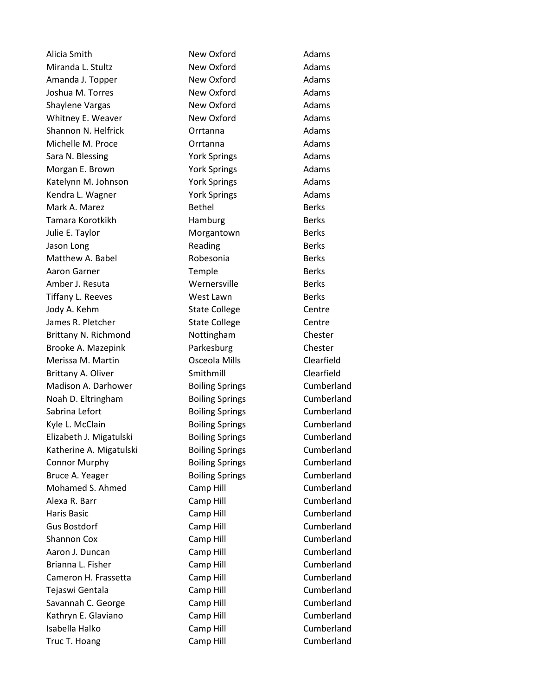Alicia Smith New Oxford Adams Miranda L. Stultz **New Oxford** Communist Communist Adams Amanda J. Topper New Oxford New Oxford Adams Joshua M. Torres **New Oxford** Communist Construction Adams Shaylene Vargas New Oxford Adams Whitney E. Weaver New Oxford Adams Shannon N. Helfrick **Contrantillation** Orrtanna **Adams** Michelle M. Proce Orrtanna Adams Sara N. Blessing The Tork Springs The Medams Morgan E. Brown **York Springs** Adams Katelynn M. Johnson **York Springs** Adams Kendra L. Wagner The Tork Springs Theory Adams Mark A. Marez **Bethel** Berks Berks Tamara Korotkikh **Hamburg** Berks Julie E. Taylor **Morgantown** Berks Jason Long **Berks** Reading **Berks** Matthew A. Babel **Robesonia** Berks Aaron Garner Temple Berks Amber J. Resuta **Wernersville** Berks Tiffany L. Reeves West Lawn Berks Jody A. Kehm State College Centre James R. Pletcher The State College Centre Brittany N. Richmond Nottingham Chester Brooke A. Mazepink **Parkesburg Chester** Chester Merissa M. Martin Osceola Mills Clearfield Brittany A. Oliver **Smithmill** Clearfield Madison A. Darhower **Boiling Springs** Cumberland Noah D. Eltringham Boiling Springs Cumberland Sabrina Lefort **Boiling Springs** Cumberland Kyle L. McClain **Boiling Springs** Cumberland Elizabeth J. Migatulski Boiling Springs Cumberland Katherine A. Migatulski **Boiling Springs** Cumberland Connor Murphy **Boiling Springs** Cumberland Bruce A. Yeager The Boiling Springs Cumberland Mohamed S. Ahmed Camp Hill Camp Hill Cumberland Alexa R. Barr **Camp Hill** Camp Hill Cumberland Haris Basic **Camp Hill** Camp Hill **Cumberland** Gus Bostdorf Camp Hill Cumberland Shannon Cox Camp Hill Cumberland Aaron J. Duncan Camp Hill Camp Hill Cumberland Brianna L. Fisher Camp Hill Camp Hill Cumberland Cameron H. Frassetta Camp Hill Cumberland Tejaswi Gentala Camp Hill Cumberland Savannah C. George Camp Hill Cumberland Kathryn E. Glaviano Camp Hill Cumberland Isabella Halko Camp Hill Cumberland Truc T. Hoang Camp Hill Camp Hill Cumberland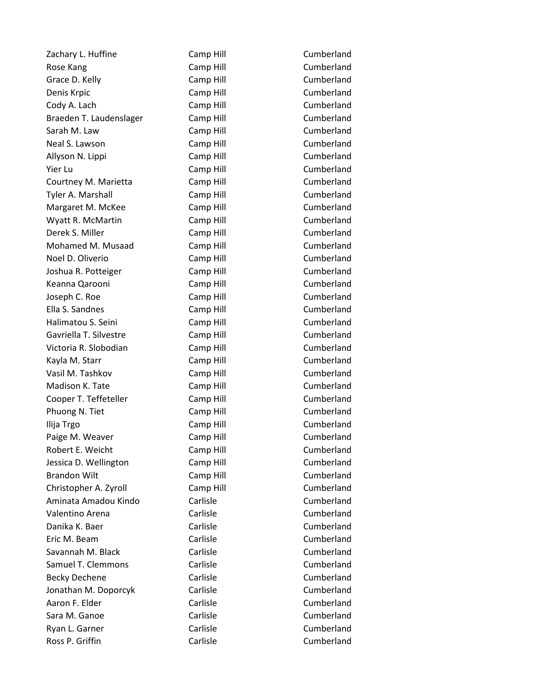Zachary L. Huffine Camp Hill Cumberland Rose Kang The Camp Hill Camp Hill Cumberland Grace D. Kelly **Camp Hill** Camp Hill **Cumberland** Denis Krpic Camp Hill Cumberland Cody A. Lach Camp Hill Cody A. Lach Cumberland Braeden T. Laudenslager Camp Hill Cumberland Sarah M. Law Camp Hill Camp Hill Cumberland Neal S. Lawson Camp Hill Camp Hill Cumberland Allyson N. Lippi Camp Hill Camp Hill Cumberland Yier Lu Camp Hill Cumberland Courtney M. Marietta Camp Hill Courtney M. Marietta Tyler A. Marshall Camp Hill Cumberland Margaret M. McKee Camp Hill Cumberland Wyatt R. McMartin **Camp Hill** Camp Hill Cumberland Derek S. Miller Camp Hill Camp Hill Cumberland Mohamed M. Musaad Camp Hill Cumberland Noel D. Oliverio Camp Hill Cumberland Joshua R. Potteiger Camp Hill Cumberland Keanna Qarooni Camp Hill Cumberland Joseph C. Roe Camp Hill Cumberland Ella S. Sandnes Camp Hill Cumberland Halimatou S. Seini Camp Hill Cumberland Gavriella T. Silvestre Camp Hill Cumberland Victoria R. Slobodian Camp Hill Cumberland Kayla M. Starr **Camp Hill** Camp Hill Cumberland Vasil M. Tashkov **Camp Hill** Camp Hill Cumberland Madison K. Tate **Camp Hill** Camp Hill Cumberland Cooper T. Teffeteller Camp Hill Cooper T. Teffeteller Phuong N. Tiet Camp Hill Camp Hill Cumberland Ilija Trgo Camp Hill Cumberland Paige M. Weaver **Camp Hill** Camp Hill Cumberland Robert E. Weicht Camp Hill Camp Hill Cumberland Jessica D. Wellington Camp Hill Cumberland Brandon Wilt **Camp Hill** Camp Hill Cumberland Christopher A. Zyroll Camp Hill Cumberland Aminata Amadou Kindo Carlisle Cumberland Valentino Arena Carlisle Cumberland Danika K. Baer Carlisle Carlisle Cumberland Eric M. Beam Carlisle Cumberland Savannah M. Black Carlisle Cumberland Samuel T. Clemmons Carlisle Cumberland Becky Dechene **Carlisle** Carlisle Cumberland Jonathan M. Doporcyk Carlisle Cumberland Aaron F. Elder Carlisle Carlisle Cumberland Sara M. Ganoe Carlisle Cumberland Ryan L. Garner Carlisle Carlisle Cumberland Ross P. Griffin **Carlisle** Carlisle Cumberland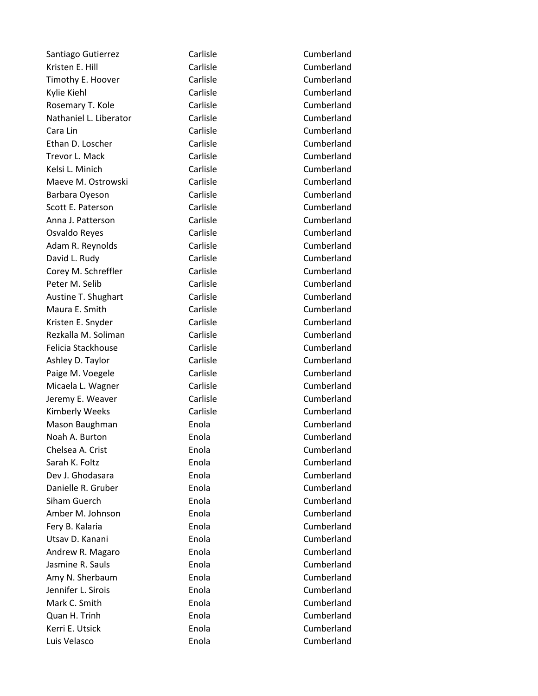Santiago Gutierrez Carlisle Carlisle Cumberland Kristen E. Hill **Carlisle** Carlisle Cumberland Timothy E. Hoover **Carlisle** Carlisle Cumberland Kylie Kiehl **Carlisle** Carlisle Cumberland Rosemary T. Kole **Carlisle** Carlisle Cumberland Nathaniel L. Liberator Carlisle Cumberland Cara Lin Carlisle Cumberland Ethan D. Loscher Carlisle Cumberland Trevor L. Mack Carlisle Carlisle Cumberland Kelsi L. Minich Carlisle Cumberland Maeve M. Ostrowski Carlisle Carlisle Cumberland Barbara Oyeson Carlisle Cumberland Scott E. Paterson Carlisle Carlisle Cumberland Anna J. Patterson Carlisle Carlisle Cumberland Osvaldo Reyes Carlisle Carlisle Cumberland Adam R. Reynolds Carlisle Carlisle Cumberland David L. Rudy **Carlisle** Carlisle Cumberland Corey M. Schreffler Carlisle Carlisle Cumberland Peter M. Selib Carlisle Carlisle Cumberland Austine T. Shughart Carlisle Carlisle Cumberland Maura E. Smith Carlisle Carlisle Cumberland Kristen E. Snyder Carlisle Carlisle Cumberland Rezkalla M. Soliman Carlisle Carlisle Cumberland Felicia Stackhouse Carlisle Cumberland Ashley D. Taylor Carlisle Carlisle Cumberland Paige M. Voegele Carlisle Carlisle Cumberland Micaela L. Wagner Carlisle Carlisle Cumberland Jeremy E. Weaver **Carlisle** Carlisle Cumberland Kimberly Weeks **Carlisle** Carlisle Cumberland Mason Baughman **Enola** Enola Enola Cumberland Noah A. Burton **Enola** Enola Cumberland Chelsea A. Crist Enola Cumberland Sarah K. Foltz Enola Cumberland Dev J. Ghodasara Enola Cumberland Danielle R. Gruber Enola Cumberland Siham Guerch Enola Cumberland Amber M. Johnson **Enola** Enola Cumberland Fery B. Kalaria **Enola** Enola Enola Cumberland Utsav D. Kanani **Enola** Enola Cumberland Andrew R. Magaro **Enola** Enola Cumberland Jasmine R. Sauls **Enola** Enola Cumberland Amy N. Sherbaum **Enola** Enola Cumberland Jennifer L. Sirois Enola Cumberland Mark C. Smith **Enola** Enola Quan H. Trinh Enola Cumberland Kerri E. Utsick Enola Enola Luis Velasco Enola Cumberland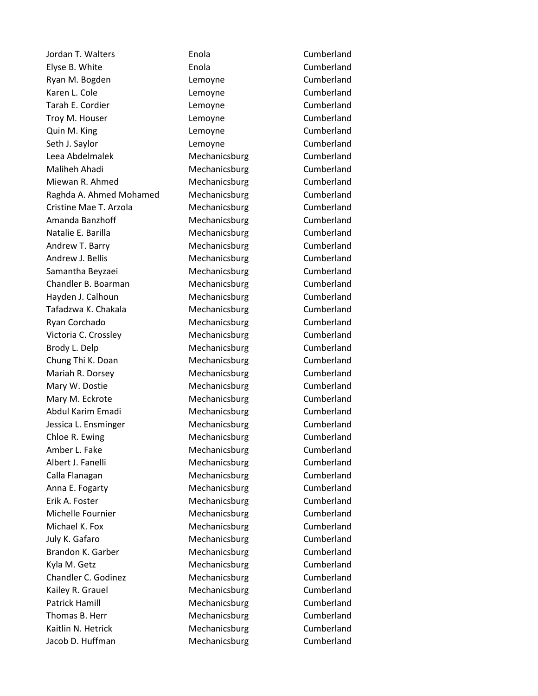Jordan T. Walters Enola Cumberland Elyse B. White **Enola** Enola Cumberland Ryan M. Bogden **Lemoyne** Cumberland Karen L. Cole **Lemoyne** Cumberland Tarah E. Cordier **Lemoyne** Cumberland Troy M. Houser **Lemoyne** Lemoyne Cumberland Quin M. King **Cumberland** Cumberland Seth J. Saylor **Lemoyne** Cumberland Leea Abdelmalek Mechanicsburg Cumberland Maliheh Ahadi **Mechanicsburg** Cumberland Miewan R. Ahmed Mechanicsburg Cumberland Raghda A. Ahmed Mohamed Mechanicsburg Cumberland Cristine Mae T. Arzola **Mechanicsburg** Cumberland Amanda Banzhoff **Mechanicsburg** Cumberland Natalie E. Barilla **Mechanicsburg** Cumberland Andrew T. Barry **Mechanicsburg** Cumberland Andrew J. Bellis Mechanicsburg Cumberland Samantha Beyzaei **Mechanicsburg** Cumberland Chandler B. Boarman Mechanicsburg Cumberland Hayden J. Calhoun Mechanicsburg Cumberland Tafadzwa K. Chakala Mechanicsburg Cumberland Ryan Corchado **Mechanicsburg** Cumberland Victoria C. Crossley **Mechanicsburg** Cumberland Brody L. Delp **Mechanicsburg** Cumberland Chung Thi K. Doan Mechanicsburg Cumberland Mariah R. Dorsey **Mechanicsburg** Cumberland Mary W. Dostie **Mechanicsburg** Cumberland Mary M. Eckrote **Mechanicsburg** Cumberland Abdul Karim Emadi Mechanicsburg Cumberland Jessica L. Ensminger Mechanicsburg Cumberland Chloe R. Ewing **Chloe R. Ewing Cumberland** Mechanicsburg Cumberland Amber L. Fake Mechanicsburg Cumberland Albert J. Fanelli **Mechanicsburg** Cumberland Calla Flanagan Mechanicsburg Cumberland Anna E. Fogarty Mechanicsburg Cumberland Erik A. Foster **Mechanicsburg** Cumberland Michelle Fournier **Mechanicsburg** Cumberland Michael K. Fox **Mechanicsburg** Cumberland July K. Gafaro **Mechanicsburg** Cumberland Brandon K. Garber **Mechanicsburg** Cumberland Kyla M. Getz **Mechanicsburg** Cumberland Chandler C. Godinez **Mechanicsburg** Cumberland Kailey R. Grauel **Mechanicsburg** Cumberland Patrick Hamill **Mechanicsburg** Cumberland Thomas B. Herr Mechanicsburg Cumberland Kaitlin N. Hetrick **Mechanicsburg** Cumberland Jacob D. Huffman Mechanicsburg Cumberland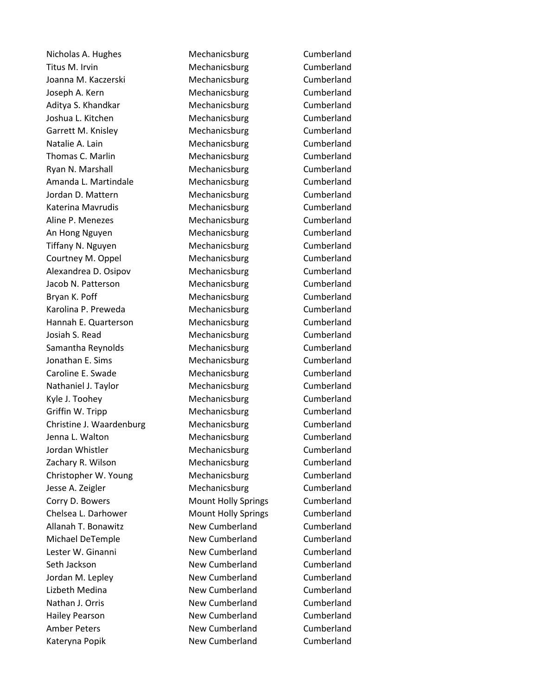Nicholas A. Hughes Mechanicsburg Cumberland Titus M. Irvin **M. Inc. 2018** Mechanicsburg **Cumberland** Joanna M. Kaczerski Mechanicsburg Cumberland Joseph A. Kern **Mechanicsburg** Cumberland Aditya S. Khandkar Mechanicsburg Cumberland Joshua L. Kitchen Mechanicsburg Cumberland Garrett M. Knisley **Mechanicsburg** Cumberland Natalie A. Lain and Mechanicsburg Cumberland Thomas C. Marlin Mechanicsburg Cumberland Ryan N. Marshall **Mechanicsburg** Cumberland Amanda L. Martindale **Mechanicsburg** Cumberland Jordan D. Mattern Mechanicsburg Cumberland Katerina Mavrudis **Mechanicsburg** Cumberland Aline P. Menezes **Mechanicsburg** Cumberland An Hong Nguyen **Mechanicsburg** Cumberland Tiffany N. Nguyen Mechanicsburg Cumberland Courtney M. Oppel Mechanicsburg Cumberland Alexandrea D. Osipov Mechanicsburg Cumberland Jacob N. Patterson Mechanicsburg Cumberland Bryan K. Poff **Mechanicsburg** Cumberland Karolina P. Preweda **Mechanicsburg** Cumberland Hannah E. Quarterson Mechanicsburg Cumberland Josiah S. Read Mechanicsburg Cumberland Samantha Reynolds **Mechanicsburg** Cumberland Jonathan E. Sims **Mechanicsburg** Cumberland Caroline E. Swade Mechanicsburg Cumberland Nathaniel J. Taylor **Mechanicsburg** Cumberland Kyle J. Toohey **Mechanicsburg** Cumberland Griffin W. Tripp **Mechanicsburg** Cumberland Christine J. Waardenburg Mechanicsburg Cumberland Jenna L. Walton Mechanicsburg Cumberland Jordan Whistler **Mechanicsburg** Cumberland Zachary R. Wilson Mechanicsburg Cumberland Christopher W. Young Mechanicsburg Cumberland Jesse A. Zeigler Mechanicsburg Cumberland Corry D. Bowers **Mount Holly Springs** Cumberland Chelsea L. Darhower Mount Holly Springs Cumberland Allanah T. Bonawitz **New Cumberland** Cumberland Michael DeTemple New Cumberland Cumberland Lester W. Ginanni **New Cumberland** Cumberland Seth Jackson **New Cumberland** Cumberland Cumberland Jordan M. Lepley **New Cumberland** Cumberland Lizbeth Medina New Cumberland Cumberland Nathan J. Orris **New Cumberland** Cumberland Hailey Pearson New Cumberland Cumberland Amber Peters **New Cumberland** Cumberland Kateryna Popik **New Cumberland** Cumberland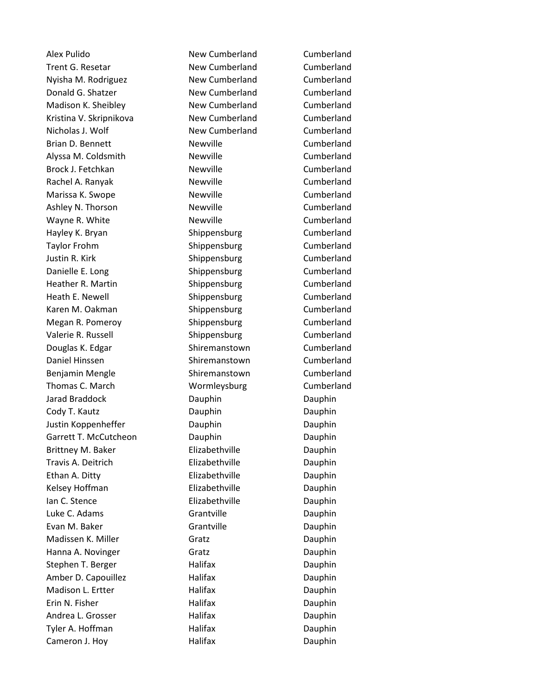Alex Pulido New Cumberland Cumberland Trent G. Resetar **New Cumberland** Cumberland Nyisha M. Rodriguez **New Cumberland** Cumberland Donald G. Shatzer **New Cumberland** Cumberland Madison K. Sheibley **New Cumberland** Cumberland Kristina V. Skripnikova<br>
New Cumberland Cumberland Cumberland Nicholas J. Wolf New Cumberland Cumberland Brian D. Bennett **Newville** Newville Cumberland Alyssa M. Coldsmith Newville Newville Cumberland Brock J. Fetchkan Newville Cumberland Rachel A. Ranyak Newville Newville Cumberland Marissa K. Swope **Newville** Newville Cumberland Ashley N. Thorson Newville Newville Cumberland Wayne R. White Newville Newville Cumberland Hayley K. Bryan Shippensburg Cumberland Taylor Frohm Shippensburg Cumberland Justin R. Kirk **Shippensburg** Cumberland Danielle E. Long Shippensburg Cumberland Heather R. Martin Shippensburg Cumberland Heath E. Newell Shippensburg Cumberland Karen M. Oakman Shippensburg Cumberland Megan R. Pomeroy **Shippensburg Cumberland** Valerie R. Russell Shippensburg Cumberland Douglas K. Edgar Shiremanstown Cumberland Daniel Hinssen Shiremanstown Cumberland Benjamin Mengle Shiremanstown Cumberland Thomas C. March Wormleysburg Cumberland Jarad Braddock Dauphin Dauphin Cody T. Kautz **Dauphin** Dauphin Dauphin Dauphin Justin Koppenheffer Dauphin Dauphin Garrett T. McCutcheon Dauphin Dauphin Dauphin Brittney M. Baker **Elizabethville** Dauphin Travis A. Deitrich Elizabethville Dauphin Ethan A. Ditty **Elizabethville** Dauphin Kelsey Hoffman **Elizabethville** Dauphin Ian C. Stence **Elizabethville** Dauphin Luke C. Adams **Grantville C. Adams** Grantville Evan M. Baker Grantville Communication Communication Communication Communication Communication Communication C Madissen K. Miller Gratz Gratz Cauphin Hanna A. Novinger Gratz Gratz Gratz Dauphin Stephen T. Berger **Halifax** Halifax Dauphin Amber D. Capouillez **Halifax** Halifax Dauphin Madison L. Ertter **Halifax** Halifax Dauphin Erin N. Fisher **N. Fisher Halifax Halifax Dauphin** Andrea L. Grosser **Halifax** Halifax Dauphin Tyler A. Hoffman **Halifax** Halifax **Dauphin** Cameron J. Hoy **Halifax** Halifax **Dauphin**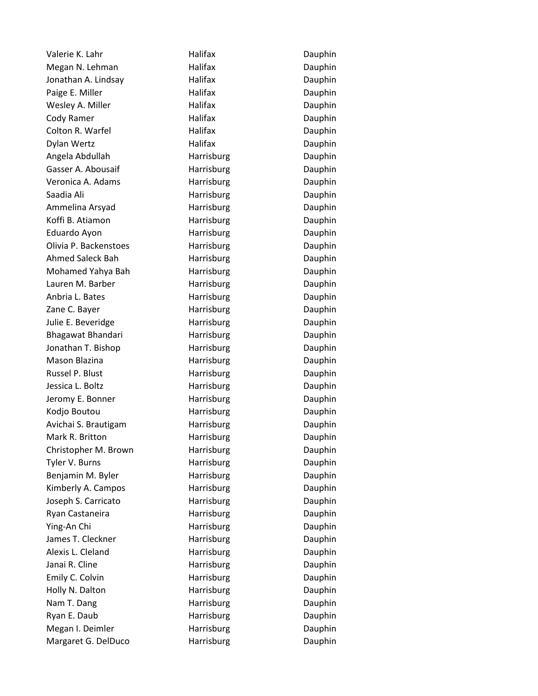Valerie K. Lahr **Malifax** Halifax **Dauphin** Megan N. Lehman Halifax Halifax Dauphin Jonathan A. Lindsay **Halifax** Halifax Dauphin Paige E. Miller **National Accord Halifax Communist Dauphin** Wesley A. Miller **National Halifax Container Bauphin** Cody Ramer **National Halifax Cody Ramer Dauphin** Colton R. Warfel **Halifax** Halifax **Dauphin** Dylan Wertz **Halifax** Halifax **Dauphin** Angela Abdullah Harrisburg Dauphin Gasser A. Abousaif **Harrisburg Harrisburg Casser A. Abousaif** Veronica A. Adams **Harrisburg** Dauphin Saadia Ali **Harrisburg** Dauphin Ammelina Arsyad **Harrisburg** Dauphin Koffi B. Atiamon **Harrisburg** Dauphin Eduardo Ayon **Harrisburg** Dauphin Olivia P. Backenstoes **Harrisburg** Dauphin Ahmed Saleck Bah Harrisburg Harrisburg Dauphin Mohamed Yahya Bah **Harrisburg** Harrisburg Dauphin Lauren M. Barber **Harrisburg** Dauphin Anbria L. Bates **Harrisburg** Dauphin Zane C. Bayer **Harrisburg** Dauphin Julie E. Beveridge The Harrisburg Communication Chauphin Bhagawat Bhandari **Harrisburg** Dauphin Jonathan T. Bishop **Harrisburg** Dauphin Mason Blazina **Mason Blazina** Harrisburg **Mason Blazina** Dauphin Russel P. Blust **Harrisburg** Dauphin Jessica L. Boltz **Harrisburg** Dauphin Jeromy E. Bonner **Harrisburg** Dauphin Kodjo Boutou **Harrisburg** Dauphin Avichai S. Brautigam **Harrisburg** Dauphin Mark R. Britton **Harrisburg** Dauphin Christopher M. Brown **Harrisburg Christopher M. Brown** Tyler V. Burns **Harrisburg** Dauphin Benjamin M. Byler **Harrisburg** Dauphin Kimberly A. Campos **Harrisburg** Dauphin Joseph S. Carricato **Harrisburg** Dauphin Ryan Castaneira **Harrisburg** Dauphin Ying-An Chi **Harrisburg** Dauphin James T. Cleckner **Harrisburg** Dauphin Alexis L. Cleland **Harrisburg** Dauphin Janai R. Cline **Harrisburg** Dauphin Emily C. Colvin **Emily C. Colvin Emily C. Colvin** Holly N. Dalton **Harrisburg** Dauphin Nam T. Dang Nam T. Dauphin Ryan E. Daub **Harrisburg** Dauphin Megan I. Deimler **Harrisburg** Dauphin Margaret G. DelDuco **Harrisburg Harrisburg** Dauphin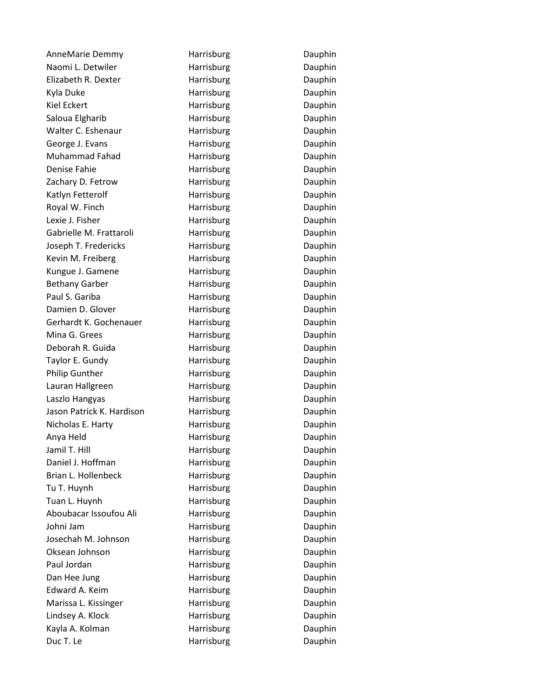AnneMarie Demmy **Harrisburg** Dauphin Naomi L. Detwiler **Harrisburg** Dauphin Elizabeth R. Dexter **Harrisburg** Dauphin Kyla Duke **Harrisburg** Dauphin Kiel Eckert **Harrisburg** Dauphin Saloua Elgharib **Harrisburg** Dauphin Walter C. Eshenaur **Harrisburg** Dauphin George J. Evans **Example 2. Example 2. Example 2. Example 2. Example 2. Example 2. Example 2. Example 2. Example 2.** Muhammad Fahad **Harrisburg** Dauphin Denise Fahie **Harrisburg** Dauphin Zachary D. Fetrow **Harrisburg** Dauphin Katlyn Fetterolf **Harrisburg Harrisburg** Dauphin Royal W. Finch **Harrisburg Harrisburg** Dauphin Lexie J. Fisher **Harrisburg** Dauphin Gabrielle M. Frattaroli **Harrisburg** Dauphin Joseph T. Fredericks **Harrisburg Communist Communist Communist** Dauphin Kevin M. Freiberg **Harrisburg** Harrisburg Dauphin Kungue J. Gamene **Harrisburg Harrisburg Example 2** Dauphin Bethany Garber **Harrisburg** Dauphin Paul S. Gariba **Harrisburg** Dauphin Damien D. Glover **Harrisburg** Dauphin Gerhardt K. Gochenauer Harrisburg Harrisburg Dauphin Mina G. Grees **Harrisburg** Dauphin Deborah R. Guida **Harrisburg** Dauphin Taylor E. Gundy **Harrisburg** Dauphin Philip Gunther **Harrisburg** Dauphin Lauran Hallgreen **Harrisburg** Dauphin Laszlo Hangyas **Harrisburg** Harrisburg Dauphin Jason Patrick K. Hardison Harrisburg Harrison Dauphin Nicholas E. Harty **Harrisburg** Dauphin Anya Held **Harrisburg** Dauphin Jamil T. Hill **Harrisburg** Dauphin Daniel J. Hoffman Harrisburg Harrisburg Dauphin Brian L. Hollenbeck **Harrisburg** Dauphin Tu T. Huynh **Harrisburg** Dauphin Tuan L. Huynh **Harrisburg** Harrisburg Dauphin Aboubacar Issoufou Ali **Harrisburg** Dauphin Johni Jam **Harrisburg** Dauphin Josechah M. Johnson Harrisburg Harrisburg Dauphin Oksean Johnson **Harrisburg** Dauphin Paul Jordan **Harrisburg** Dauphin Dan Hee Jung Names Barrisburg Names Bauphin Edward A. Keim **Harrisburg** Dauphin Marissa L. Kissinger **Harrisburg** Dauphin Lindsey A. Klock **Harrisburg** Dauphin Kayla A. Kolman **Harrisburg** Dauphin Duc T. Le **Harrisburg** Dauphin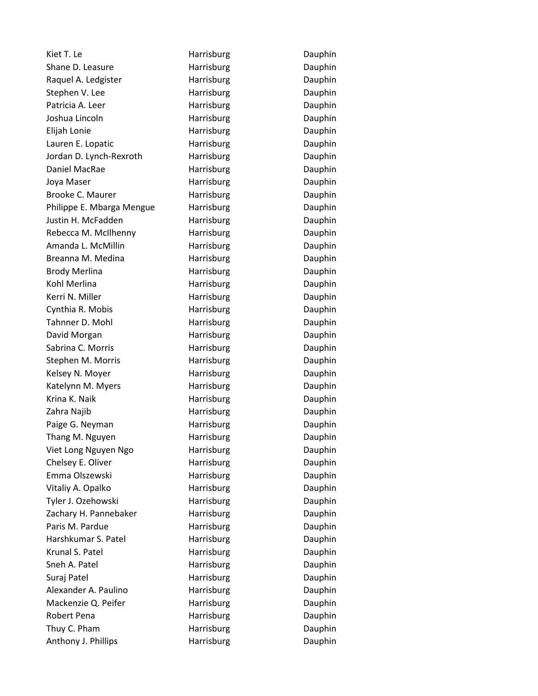| Kiet T. Le                | Harrisburg | Dauphin |
|---------------------------|------------|---------|
| Shane D. Leasure          | Harrisburg | Dauphin |
| Raquel A. Ledgister       | Harrisburg | Dauphin |
| Stephen V. Lee            | Harrisburg | Dauphin |
| Patricia A. Leer          | Harrisburg | Dauphin |
| Joshua Lincoln            | Harrisburg | Dauphin |
| Elijah Lonie              | Harrisburg | Dauphin |
| Lauren E. Lopatic         | Harrisburg | Dauphin |
| Jordan D. Lynch-Rexroth   | Harrisburg | Dauphin |
| Daniel MacRae             | Harrisburg | Dauphin |
| Joya Maser                | Harrisburg | Dauphin |
| Brooke C. Maurer          | Harrisburg | Dauphin |
| Philippe E. Mbarga Mengue | Harrisburg | Dauphin |
| Justin H. McFadden        | Harrisburg | Dauphin |
| Rebecca M. McIlhenny      | Harrisburg | Dauphin |
| Amanda L. McMillin        | Harrisburg | Dauphin |
| Breanna M. Medina         | Harrisburg | Dauphin |
| <b>Brody Merlina</b>      | Harrisburg | Dauphin |
| Kohl Merlina              | Harrisburg | Dauphin |
| Kerri N. Miller           | Harrisburg | Dauphin |
| Cynthia R. Mobis          | Harrisburg | Dauphin |
| Tahnner D. Mohl           | Harrisburg | Dauphin |
| David Morgan              | Harrisburg | Dauphin |
| Sabrina C. Morris         | Harrisburg | Dauphin |
| Stephen M. Morris         | Harrisburg | Dauphin |
| Kelsey N. Moyer           | Harrisburg | Dauphin |
| Katelynn M. Myers         | Harrisburg | Dauphin |
| Krina K. Naik             | Harrisburg | Dauphin |
| Zahra Najib               | Harrisburg | Dauphin |
| Paige G. Neyman           | Harrisburg | Dauphin |
| Thang M. Nguyen           | Harrisburg | Dauphin |
| Viet Long Nguyen Ngo      | Harrisburg | Dauphin |
| Chelsey E. Oliver         | Harrisburg | Dauphin |
| Emma Olszewski            | Harrisburg | Dauphin |
| Vitaliy A. Opalko         | Harrisburg | Dauphin |
| Tyler J. Ozehowski        | Harrisburg | Dauphin |
| Zachary H. Pannebaker     | Harrisburg | Dauphin |
| Paris M. Pardue           | Harrisburg | Dauphin |
| Harshkumar S. Patel       | Harrisburg | Dauphin |
| Krunal S. Patel           | Harrisburg | Dauphin |
| Sneh A. Patel             | Harrisburg | Dauphin |
| Suraj Patel               | Harrisburg | Dauphin |
| Alexander A. Paulino      | Harrisburg | Dauphin |
| Mackenzie Q. Peifer       | Harrisburg | Dauphin |
| Robert Pena               | Harrisburg | Dauphin |
| Thuy C. Pham              | Harrisburg | Dauphin |
| Anthony J. Phillips       | Harrisburg | Dauphin |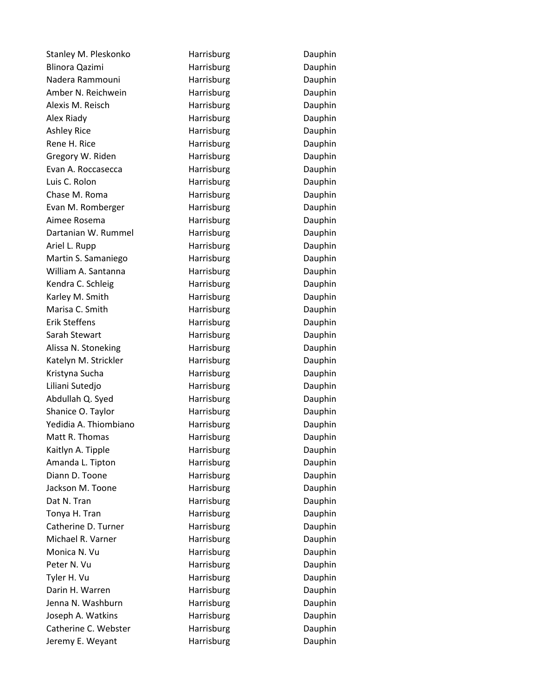Stanley M. Pleskonko Marrisburg Harrisburg Dauphin Blinora Qazimi **Harrisburg** Dauphin Nadera Rammouni **Marrisburg** Dauphin Amber N. Reichwein **Harrisburg** Dauphin Alexis M. Reisch **Harrisburg** Dauphin Alex Riady **Harrisburg** Dauphin Ashley Rice **Harrisburg** Dauphin Rene H. Rice **Harrisburg Particular Example 1 Dauphin** Gregory W. Riden **Harrisburg** Dauphin Evan A. Roccasecca **Harrisburg** Dauphin Luis C. Rolon **Harrisburg** Dauphin Chase M. Roma **Harrisburg** Dauphin Evan M. Romberger **Harrisburg** Dauphin Aimee Rosema **Exercise Serverse Entity Contract Aimee Rosema** Dauphin Dartanian W. Rummel Harrisburg Harrisburg Dauphin Ariel L. Rupp **Harrisburg** Dauphin Martin S. Samaniego **Harrisburg** Dauphin William A. Santanna **Harrisburg** Dauphin Kendra C. Schleig Harrisburg Dauphin Karley M. Smith **Harrisburg** Harrisburg Dauphin Marisa C. Smith **Harrisburg** Dauphin Erik Steffens **Erik Steffens** Harrisburg **Erik Steffens** Sarah Stewart **Harrisburg** Harrisburg Dauphin Alissa N. Stoneking **Harrisburg** Harrisburg Dauphin Katelyn M. Strickler **Harrisburg** Dauphin Kristyna Sucha **Makku** Harrisburg Harrisburg Dauphin Liliani Sutedio **Harrisburg** Dauphin Abdullah Q. Syed **Harrisburg** Dauphin Shanice O. Taylor **Harrisburg** Dauphin Yedidia A. Thiombiano **Harrisburg** Dauphin Matt R. Thomas **Harrisburg** Dauphin Kaitlyn A. Tipple **Harrisburg** Dauphin Amanda L. Tipton **Harrisburg** Dauphin Diann D. Toone **Harrisburg** Diann D. Toone Jackson M. Toone **Harrisburg** Dauphin Dat N. Tran **N. Tran** Harrisburg Dauphin Tonya H. Tran **Harrisburg** Dauphin Catherine D. Turner The Harrisburg Catherine Dauphin Michael R. Varner **Harrisburg** Dauphin Monica N. Vu **Harrisburg** Dauphin Peter N. Vu **Harrisburg** Dauphin Tyler H. Vu **Harrisburg** Dauphin Darin H. Warren **Harrisburg** Dauphin Jenna N. Washburn **Harrisburg** Dauphin Joseph A. Watkins **Harrisburg** Dauphin Catherine C. Webster **Harrisburg** Dauphin Jeremy E. Weyant **Harrisburg Harrisburg** Dauphin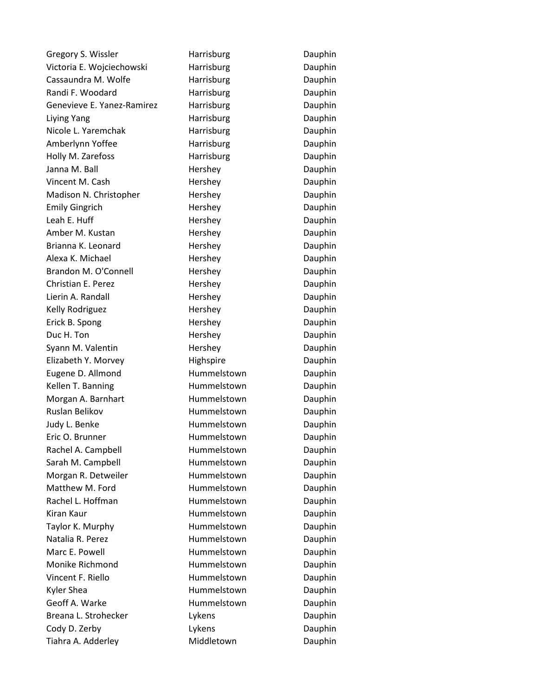Gregory S. Wissler **Harrisburg** Dauphin Victoria E. Wojciechowski harrisburg Harrisburg Dauphin Cassaundra M. Wolfe **Harrisburg Harrisburg Dauphin** Randi F. Woodard **Harrisburg Harrisburg** Dauphin Genevieve E. Yanez-Ramirez Harrisburg Harrisburg Dauphin Liying Yang National Harrisburg National Dauphin Nicole L. Yaremchak Harrisburg Harrisburg Dauphin Amberlynn Yoffee **Harrisburg** Harrisburg Dauphin Holly M. Zarefoss **Harrisburg** Dauphin Janna M. Ball **Hershey Hershey** Dauphin Vincent M. Cash **Hershey** Hershey Dauphin Madison N. Christopher Hershey Hershey Dauphin Emily Gingrich **Hershey** Hershey Dauphin Leah E. Huff **Hershey** Hershey **Dauphin** Amber M. Kustan **Hershey** Hershey **Dauphin** Brianna K. Leonard **E. Edward** Hershey **Matters** Brianna K. Leonard Alexa K. Michael **Hershey** Hershey Dauphin Brandon M. O'Connell Hershey Hershey Dauphin Christian E. Perez **Hershey** Hershey Dauphin Lierin A. Randall **Hershey Hershey** Dauphin Kelly Rodriguez **Hershey** Hershey Dauphin Erick B. Spong The Hershey Nershey Dauphin Duc H. Ton **Example 20** Hershey **Dauphin** Dauphin Syann M. Valentin **Example 20** Hershey **Manufathers** Dauphin Elizabeth Y. Morvey **Highspire** Highspire Dauphin Eugene D. Allmond Hummelstown Dauphin Kellen T. Banning The Hummelstown Dauphin Morgan A. Barnhart **Hummelstown** Dauphin Ruslan Belikov **Hummelstown** Dauphin Judy L. Benke **Hummelstown** Dauphin Eric O. Brunner **Hummelstown** Dauphin Rachel A. Campbell **Hummelstown** Dauphin Sarah M. Campbell **Hummelstown** Dauphin Morgan R. Detweiler **Hummelstown** Dauphin Matthew M. Ford **Hummelstown** Dauphin Rachel L. Hoffman **Hummelstown** Dauphin Kiran Kaur **Hummelstown** Dauphin Taylor K. Murphy **Example Hummelstown** Dauphin Natalia R. Perez **Hummelstown** Dauphin Marc E. Powell **E. Auxilian Communists** Hummelstown **Dauphin** Monike Richmond **Hummelstown** Dauphin Vincent F. Riello **Hummelstown** Dauphin Kyler Shea **Hummelstown** Dauphin Geoff A. Warke **Hummelstown** Dauphin Breana L. Strohecker Lykens Lykens Dauphin Cody D. Zerby **Lykens** Lykens Dauphin Tiahra A. Adderley **Middletown** Dauphin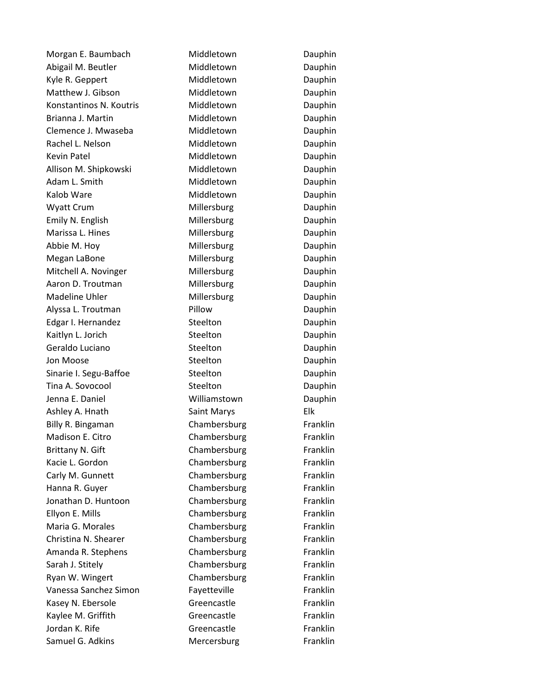Morgan E. Baumbach Middletown Dauphin Abigail M. Beutler **Middletown** Dauphin Kyle R. Geppert **Middletown** Dauphin Matthew J. Gibson Middletown Dauphin Konstantinos N. Koutris **Middletown** Dauphin Brianna J. Martin **Middletown** Dauphin Clemence J. Mwaseba Middletown Dauphin Rachel L. Nelson **Middletown** Dauphin Kevin Patel **Middletown** Dauphin Allison M. Shipkowski Middletown Dauphin Adam L. Smith Middletown Dauphin Kalob Ware **Middletown** Dauphin Wyatt Crum Millersburg Dauphin Emily N. English **Millersburg** Dauphin Marissa L. Hines **Millersburg** Dauphin Abbie M. Hoy **Millersburg Communist Communist Communist Communist Communist Communist Communist Communist Communist Communist Communist Communist Communist Communist Communist Communist Communist Communist Communist Comm** Megan LaBone **Millersburg** Dauphin Mitchell A. Novinger **Millersburg** Dauphin Aaron D. Troutman Millersburg Dauphin Madeline Uhler **Millersburg** Dauphin Alyssa L. Troutman **Pillow** Pillow Dauphin Edgar I. Hernandez Steelton Steelton Dauphin Kaitlyn L. Jorich Steelton Steelton Dauphin Geraldo Luciano **Steelton** Steelton Dauphin Jon Moose Steelton Steelton Dauphin Sinarie I. Segu-Baffoe Steelton Steelton Dauphin Tina A. Sovocool Steelton Steelton Dauphin Jenna E. Daniel Williamstown Dauphin Ashley A. Hnath Saint Marys Elk Billy R. Bingaman Chambersburg Franklin Madison E. Citro **Chambersburg** Franklin Brittany N. Gift **Chambersburg** Franklin Kacie L. Gordon Chambersburg Franklin Carly M. Gunnett Chambersburg Franklin Hanna R. Guyer Chambersburg Franklin Jonathan D. Huntoon Chambersburg Franklin Ellyon E. Mills **Ellyon E. Mills** Chambersburg Franklin Maria G. Morales Chambersburg Franklin Christina N. Shearer Chambersburg Franklin Amanda R. Stephens Chambersburg Franklin Sarah J. Stitely **Example Sarah J. Stitely** Chambersburg Franklin Ryan W. Wingert **Chambersburg Franklin** Vanessa Sanchez Simon Fayetteville Franklin Kasey N. Ebersole **Greencastle** Greencastle Franklin Kaylee M. Griffith Greencastle Franklin Jordan K. Rife **Greencastle** Greencastle Franklin Samuel G. Adkins **Mercersburg** Franklin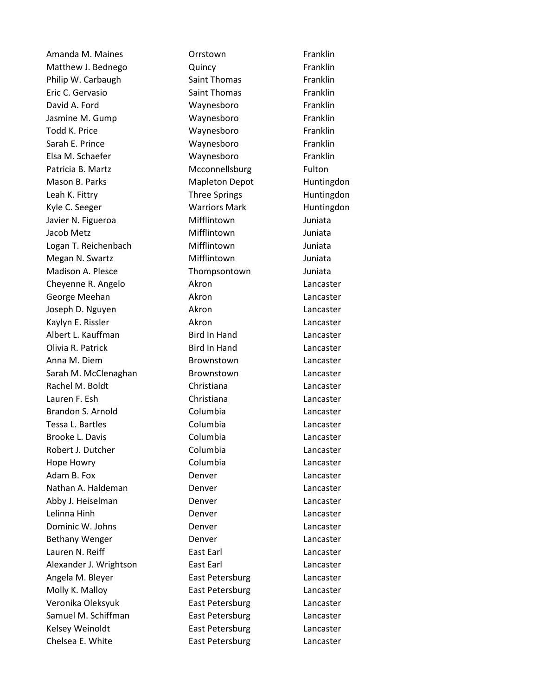Amanda M. Maines Orrstown Franklin Matthew J. Bednego **Cuincy Cuincy** Cuincy **Franklin** Philip W. Carbaugh Saint Thomas Franklin Eric C. Gervasio **Saint Thomas** Franklin David A. Ford **Waynesboro Waynesboro** Franklin Jasmine M. Gump Waynesboro Franklin Todd K. Price Waynesboro Franklin Sarah E. Prince **Waynesboro Waynesboro** Franklin Elsa M. Schaefer Waynesboro Franklin Patricia B. Martz **Mcconnellsburg** Fulton Mason B. Parks **Mapleton Depot** Huntingdon Leah K. Fittry **Example 2** Three Springs Three Huntingdon Kyle C. Seeger **Warriors Mark** Huntingdon Javier N. Figueroa Mifflintown Juniata Jacob Metz **Mifflintown** Juniata Logan T. Reichenbach Mifflintown Juniata Megan N. Swartz **Mifflintown** Juniata Madison A. Plesce Thompsontown Juniata Cheyenne R. Angelo **Akron** Akron Lancaster George Meehan **Akron** Akron Lancaster Joseph D. Nguyen **Akron** Akron Lancaster Kaylyn E. Rissler **Akron** Akron Lancaster Albert L. Kauffman Bird In Hand Lancaster Olivia R. Patrick Bird In Hand Lancaster Anna M. Diem Brownstown Lancaster Sarah M. McClenaghan Brownstown Lancaster Rachel M. Boldt Christiana Lancaster Lauren F. Esh Christiana Lancaster Brandon S. Arnold Columbia Lancaster Tessa L. Bartles **Columbia** Columbia Brooke L. Davis **Columbia** Columbia Lancaster Robert J. Dutcher **Columbia** Columbia Lancaster Hope Howry **Columbia** Columbia Adam B. Fox **Denver Container Example 20** Eancaster Nathan A. Haldeman Denver Lancaster Abby J. Heiselman **Denver Constanting Lancaster Lancaster** Lelinna Hinh Denver Lancaster Dominic W. Johns **Denver** Denver Lancaster Bethany Wenger **Denver** Denver **Lancaster** Lauren N. Reiff **East Earl** East Earl East Earl East Earl East Earl East Earl East East Earl East Earl East Earl Alexander J. Wrightson East Earl Earl Lancaster Angela M. Bleyer **East Petersburg** East Peters East Peters East Peters East Peters East are acter-Molly K. Malloy **East Petersburg** Lancaster Veronika Oleksyuk East Petersburg Lancaster Samuel M. Schiffman **East Petersburg** East Petersburg Lancaster Kelsey Weinoldt East Petersburg Lancaster Chelsea E. White **East Petersburg** East Petersburg Lancaster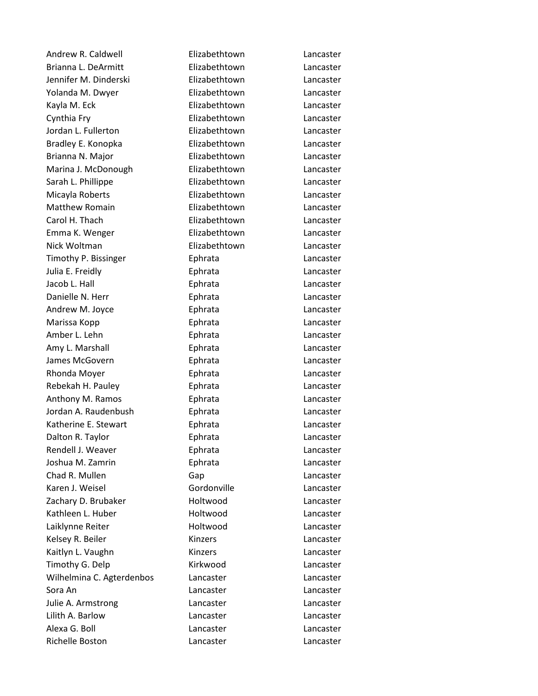Andrew R. Caldwell **Elizabethtown** Lancaster Brianna L. DeArmitt **Elizabethtown** Lancaster Jennifer M. Dinderski Elizabethtown Lancaster Yolanda M. Dwyer Elizabethtown Lancaster Kayla M. Eck **Elizabethtown** Lancaster Cynthia Fry Elizabethtown Lancaster Jordan L. Fullerton Elizabethtown Lancaster Bradley E. Konopka Elizabethtown Lancaster Brianna N. Major **Elizabethtown** Lancaster Marina J. McDonough Elizabethtown Lancaster Sarah L. Phillippe **Elizabethtown** Lancaster Micayla Roberts Elizabethtown Lancaster Matthew Romain Elizabethtown Lancaster Carol H. Thach Elizabethtown Lancaster Emma K. Wenger **Elizabethtown** Lancaster Nick Woltman Elizabethtown Lancaster Timothy P. Bissinger Ephrata Lancaster Julia E. Freidly Ephrata Lancaster Jacob L. Hall **Ephrata** Lancaster Danielle N. Herr **Ephrata** Ephrata Lancaster Andrew M. Joyce **Ephrata** Ephrata Lancaster Marissa Kopp **Ephrata** Ephrata Lancaster Amber L. Lehn **Ephrata** Ephrata Lancaster Amy L. Marshall Ephrata Lancaster James McGovern **Ephrata** Ephrata Lancaster Rhonda Moyer **Ephrata** Ephrata Lancaster Rebekah H. Pauley **Ephrata** Ephrata Lancaster Anthony M. Ramos **Ephrata** Ephrata Lancaster Jordan A. Raudenbush Ephrata Lancaster Katherine E. Stewart **Ephrata** Ephrata Lancaster Dalton R. Taylor **Ephrata** Ephrata Lancaster Rendell J. Weaver **Ephrata** Ephrata Lancaster Joshua M. Zamrin Ephrata Lancaster Chad R. Mullen Gap Gap Lancaster Karen J. Weisel Gordonville Lancaster Zachary D. Brubaker **Holtwood** Lancaster Kathleen L. Huber **Holtwood** Lancaster Laiklynne Reiter **Mateur Holtwood** Lancaster Kelsey R. Beiler **Kinzers** Kinzers Lancaster Kaitlyn L. Vaughn Kinzers Kinzers Lancaster Timothy G. Delp **Kirkwood** Lancaster Wilhelmina C. Agterdenbos Lancaster Lancaster Sora An Lancaster Lancaster Julie A. Armstrong Lancaster Lancaster Lilith A. Barlow Lancaster Lancaster Alexa G. Boll Lancaster Lancaster Richelle Boston Lancaster Lancaster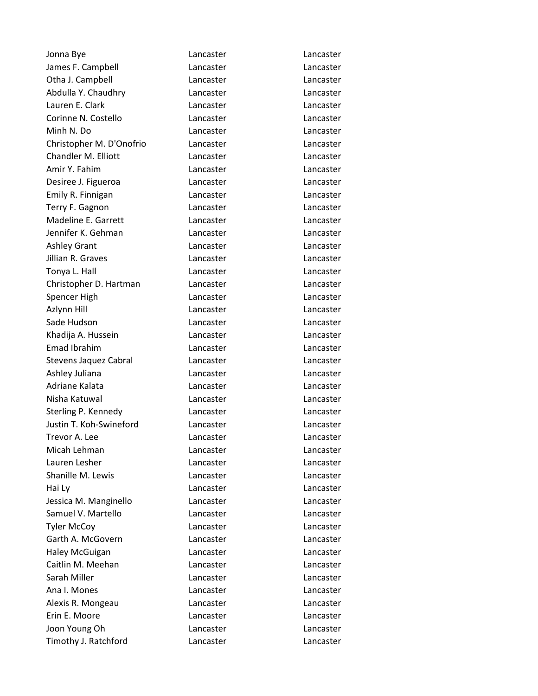| Jonna Bye                | Lancaster | Lancaster |
|--------------------------|-----------|-----------|
| James F. Campbell        | Lancaster | Lancaster |
| Otha J. Campbell         | Lancaster | Lancaster |
| Abdulla Y. Chaudhry      | Lancaster | Lancaster |
| Lauren E. Clark          | Lancaster | Lancaster |
| Corinne N. Costello      | Lancaster | Lancaster |
| Minh N. Do               | Lancaster | Lancaster |
| Christopher M. D'Onofrio | Lancaster | Lancaster |
| Chandler M. Elliott      | Lancaster | Lancaster |
| Amir Y. Fahim            | Lancaster | Lancaster |
| Desiree J. Figueroa      | Lancaster | Lancaster |
| Emily R. Finnigan        | Lancaster | Lancaster |
| Terry F. Gagnon          | Lancaster | Lancaster |
| Madeline E. Garrett      | Lancaster | Lancaster |
| Jennifer K. Gehman       | Lancaster | Lancaster |
| <b>Ashley Grant</b>      | Lancaster | Lancaster |
| Jillian R. Graves        | Lancaster | Lancaster |
| Tonya L. Hall            | Lancaster | Lancaster |
| Christopher D. Hartman   | Lancaster | Lancaster |
| Spencer High             | Lancaster | Lancaster |
| Azlynn Hill              | Lancaster | Lancaster |
| Sade Hudson              | Lancaster | Lancaster |
| Khadija A. Hussein       | Lancaster | Lancaster |
| Emad Ibrahim             | Lancaster | Lancaster |
| Stevens Jaquez Cabral    | Lancaster | Lancaster |
| Ashley Juliana           | Lancaster | Lancaster |
| Adriane Kalata           | Lancaster | Lancaster |
| Nisha Katuwal            | Lancaster | Lancaster |
| Sterling P. Kennedy      | Lancaster | Lancaster |
| Justin T. Koh-Swineford  | Lancaster | Lancaster |
| Trevor A. Lee            | Lancaster | Lancaster |
| Micah Lehman             | Lancaster | Lancaster |
| Lauren Lesher            | Lancaster | Lancaster |
| Shanille M. Lewis        | Lancaster | Lancaster |
| Hai Ly                   | Lancaster | Lancaster |
| Jessica M. Manginello    | Lancaster | Lancaster |
| Samuel V. Martello       | Lancaster | Lancaster |
| <b>Tyler McCoy</b>       | Lancaster | Lancaster |
| Garth A. McGovern        | Lancaster | Lancaster |
| <b>Haley McGuigan</b>    | Lancaster | Lancaster |
| Caitlin M. Meehan        | Lancaster | Lancaster |
| Sarah Miller             | Lancaster | Lancaster |
| Ana I. Mones             | Lancaster | Lancaster |
| Alexis R. Mongeau        | Lancaster | Lancaster |
| Erin E. Moore            | Lancaster | Lancaster |
| Joon Young Oh            | Lancaster | Lancaster |
| Timothy J. Ratchford     | Lancaster | Lancaster |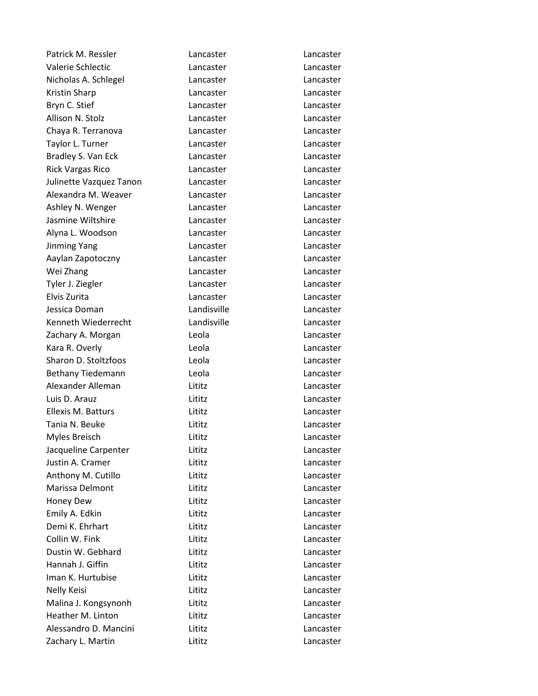| Patrick M. Ressler      | Lancaster   | Lancaster |
|-------------------------|-------------|-----------|
| Valerie Schlectic       | Lancaster   | Lancaster |
| Nicholas A. Schlegel    | Lancaster   | Lancaster |
| Kristin Sharp           | Lancaster   | Lancaster |
| Bryn C. Stief           | Lancaster   | Lancaster |
| Allison N. Stolz        | Lancaster   | Lancaster |
| Chaya R. Terranova      | Lancaster   | Lancaster |
| Taylor L. Turner        | Lancaster   | Lancaster |
| Bradley S. Van Eck      | Lancaster   | Lancaster |
| <b>Rick Vargas Rico</b> | Lancaster   | Lancaster |
| Julinette Vazquez Tanon | Lancaster   | Lancaster |
| Alexandra M. Weaver     | Lancaster   | Lancaster |
| Ashley N. Wenger        | Lancaster   | Lancaster |
| Jasmine Wiltshire       | Lancaster   | Lancaster |
| Alyna L. Woodson        | Lancaster   | Lancaster |
| <b>Jinming Yang</b>     | Lancaster   | Lancaster |
| Aaylan Zapotoczny       | Lancaster   | Lancaster |
| Wei Zhang               | Lancaster   | Lancaster |
| Tyler J. Ziegler        | Lancaster   | Lancaster |
| Elvis Zurita            | Lancaster   | Lancaster |
| Jessica Doman           | Landisville | Lancaster |
| Kenneth Wiederrecht     | Landisville | Lancaster |
| Zachary A. Morgan       | Leola       | Lancaster |
| Kara R. Overly          | Leola       | Lancaster |
| Sharon D. Stoltzfoos    | Leola       | Lancaster |
| Bethany Tiedemann       | Leola       | Lancaster |
| Alexander Alleman       | Lititz      | Lancaster |
| Luis D. Arauz           | Lititz      | Lancaster |
| Ellexis M. Batturs      | Lititz      | Lancaster |
| Tania N. Beuke          | Lititz      | Lancaster |
| Myles Breisch           | Lititz      | Lancaster |
| Jacqueline Carpenter    | Lititz      | Lancaster |
| Justin A. Cramer        | Lititz      | Lancaster |
| Anthony M. Cutillo      | Lititz      | Lancaster |
| Marissa Delmont         | Lititz      | Lancaster |
| Honey Dew               | Lititz      | Lancaster |
| Emily A. Edkin          | Lititz      | Lancaster |
| Demi K. Ehrhart         | Lititz      | Lancaster |
| Collin W. Fink          | Lititz      | Lancaster |
| Dustin W. Gebhard       | Lititz      | Lancaster |
| Hannah J. Giffin        | Lititz      | Lancaster |
| Iman K. Hurtubise       | Lititz      | Lancaster |
| Nelly Keisi             | Lititz      | Lancaster |
| Malina J. Kongsynonh    | Lititz      | Lancaster |
| Heather M. Linton       | Lititz      | Lancaster |
| Alessandro D. Mancini   | Lititz      | Lancaster |
| Zachary L. Martin       | Lititz      | Lancaster |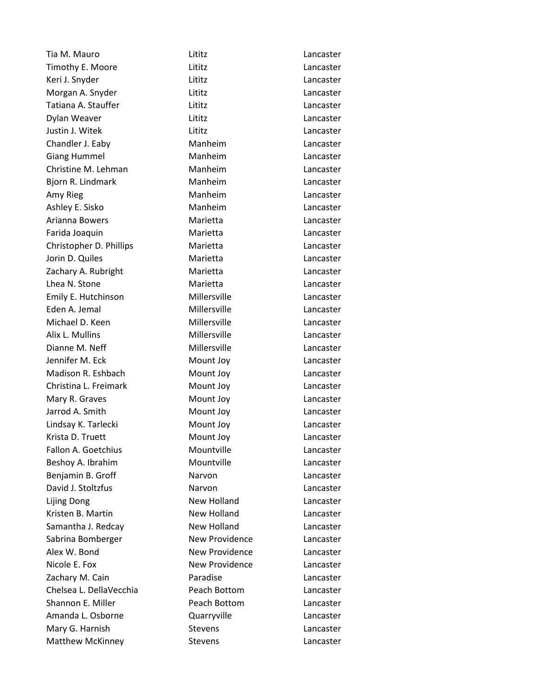Tia M. Mauro Lititz Lancaster Timothy E. Moore Lititz Lancaster Keri J. Snyder **Litikal Lancaster** Lititz **Lancaster** Morgan A. Snyder **Lititims** Lititz **Lancaster** Lancaster Tatiana A. Stauffer Lititz Lancaster Dylan Weaver Lititz Lancaster Justin J. Witek Lititz Lancaster Chandler J. Eaby Manheim Manheim Lancaster Giang Hummel Manheim Manheim Lancaster Christine M. Lehman Manheim Lancaster Bjorn R. Lindmark Manheim Manheim Lancaster Amy Rieg **Manheim** Lancaster Ashley E. Sisko Manheim Manheim Lancaster Arianna Bowers **Marietta** Marietta Lancaster Farida Joaquin **Marietta** Marietta Lancaster Christopher D. Phillips Marietta Lancaster Jorin D. Quiles **Marietta** Lancaster Zachary A. Rubright **Marietta** Marietta Lancaster Lhea N. Stone **Marietta** Lancaster Emily E. Hutchinson Millersville Lancaster Eden A. Jemal Millersville Lancaster Michael D. Keen Millersville Cancaster Alix L. Mullins **Millersville** Lancaster Dianne M. Neff **Millersville** Millersville **Lancaster** Jennifer M. Eck Mount Joy Lancaster Madison R. Eshbach Mount Joy Cancaster Christina L. Freimark Mount Joy Lancaster Mary R. Graves **Mount Joy** Lancaster Jarrod A. Smith Mount Joy Lancaster Lindsay K. Tarlecki Mount Joy Lancaster Krista D. Truett **Mount Joy** Lancaster Fallon A. Goetchius Mountville Lancaster Beshoy A. Ibrahim Mountville Lancaster Benjamin B. Groff Narvon Narvon Lancaster David J. Stoltzfus **Narvon** Narvon Lancaster Lijing Dong New Holland Lancaster Kristen B. Martin New Holland Lancaster Samantha J. Redcay New Holland Lancaster Sabrina Bomberger New Providence Lancaster Alex W. Bond New Providence **Lancaster** Nicole E. Fox New Providence Lancaster Zachary M. Cain **Paradise** Paradise Lancaster Chelsea L. DellaVecchia Peach Bottom Lancaster Shannon E. Miller **National Peach Bottom** Lancaster Amanda L. Osborne Quarryville Lancaster Mary G. Harnish Stevens Stevens Lancaster Matthew McKinney **Stevens** Stevens Lancaster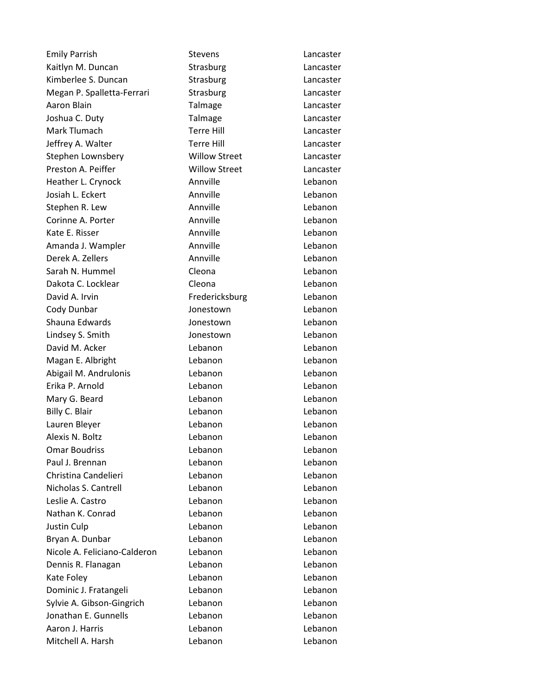Emily Parrish Stevens Contact Stevens Lancaster Kaitlyn M. Duncan Strasburg Cancaster Kimberlee S. Duncan Strasburg Strasburg Lancaster Megan P. Spalletta-Ferrari Strasburg Cancaster Aaron Blain **National Communist Communist Communist Communist Communist Communist Communist Communist Communist Communist Communist Communist Communist Communist Communist Communist Communist Communist Communist Communist** Joshua C. Duty Talmage Lancaster Mark Tlumach Terre Hill Lancaster Jeffrey A. Walter Terre Hill Lancaster Stephen Lownsbery Willow Street Lancaster Preston A. Peiffer Willow Street Lancaster Heather L. Crynock **Annville** Annville Lebanon Josiah L. Eckert **Annville** Annville Lebanon Stephen R. Lew **Annville** Annville Lebanon Corinne A. Porter **Annville** Annville **Lebanon** Kate E. Risser **Annville** Annville Lebanon Amanda J. Wampler **Annville** Annville **Annville** Derek A. Zellers **Annville** Annville **Lebanon** Sarah N. Hummel Cleona Lebanon Dakota C. Locklear Cleona Lebanon David A. Irvin **Example 20** Fredericksburg **Lebanon** Cody Dunbar **Cody Dunbar** Jonestown Lebanon Shauna Edwards Jonestown Lebanon Lindsey S. Smith Jonestown Lebanon David M. Acker **Lebanon** Lebanon Lebanon Lebanon Magan E. Albright **Lebanon** Lebanon Lebanon Abigail M. Andrulonis Lebanon Lebanon Erika P. Arnold Lebanon Lebanon Mary G. Beard **Lebanon** Lebanon **Lebanon** Billy C. Blair **Lebanon** Lebanon **Lebanon** Lebanon Lauren Bleyer Lebanon Lebanon Alexis N. Boltz Lebanon Lebanon Omar Boudriss Lebanon Lebanon Paul J. Brennan Lebanon Lebanon Christina Candelieri Lebanon Lebanon Nicholas S. Cantrell Lebanon Lebanon Leslie A. Castro Lebanon Lebanon Nathan K. Conrad Lebanon Lebanon Justin Culp Lebanon Lebanon Bryan A. Dunbar **Lebanon** Lebanon Lebanon Nicole A. Feliciano-Calderon Lebanon Lebanon Dennis R. Flanagan Lebanon Lebanon Kate Foley **Contract Contract Contract Contract Contract Contract Contract Contract Contract Contract Contract Contract Contract Contract Contract Contract Contract Contract Contract Contract Contract Contract Contract Con** Dominic J. Fratangeli **Lebanon** Lebanon Lebanon Sylvie A. Gibson-Gingrich Lebanon Lebanon Jonathan E. Gunnells Lebanon Lebanon Aaron J. Harris Lebanon Lebanon Mitchell A. Harsh **Lebanon** Lebanon Lebanon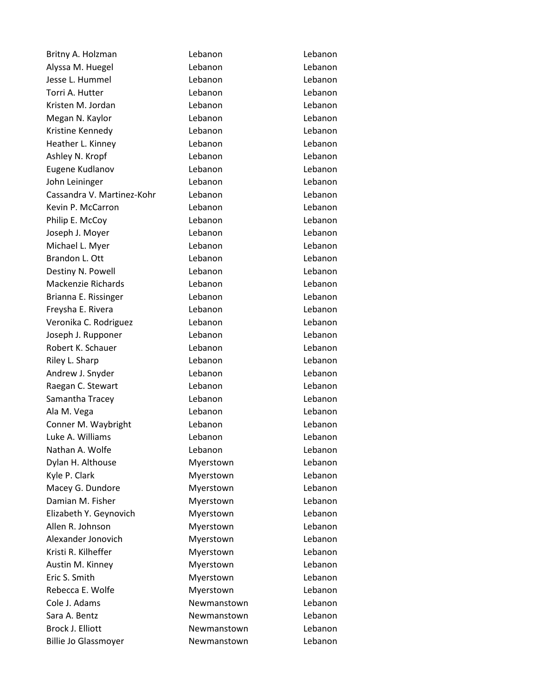| Britny A. Holzman           | Lebanon     | Lebanon |
|-----------------------------|-------------|---------|
| Alyssa M. Huegel            | Lebanon     | Lebanon |
| Jesse L. Hummel             | Lebanon     | Lebanon |
| Torri A. Hutter             | Lebanon     | Lebanon |
| Kristen M. Jordan           | Lebanon     | Lebanon |
| Megan N. Kaylor             | Lebanon     | Lebanon |
| Kristine Kennedy            | Lebanon     | Lebanon |
| Heather L. Kinney           | Lebanon     | Lebanon |
| Ashley N. Kropf             | Lebanon     | Lebanon |
| Eugene Kudlanov             | Lebanon     | Lebanon |
| John Leininger              | Lebanon     | Lebanon |
| Cassandra V. Martinez-Kohr  | Lebanon     | Lebanon |
| Kevin P. McCarron           | Lebanon     | Lebanon |
| Philip E. McCoy             | Lebanon     | Lebanon |
| Joseph J. Moyer             | Lebanon     | Lebanon |
| Michael L. Myer             | Lebanon     | Lebanon |
| Brandon L. Ott              | Lebanon     | Lebanon |
| Destiny N. Powell           | Lebanon     | Lebanon |
| <b>Mackenzie Richards</b>   | Lebanon     | Lebanon |
| Brianna E. Rissinger        | Lebanon     | Lebanon |
| Freysha E. Rivera           | Lebanon     | Lebanon |
| Veronika C. Rodriguez       | Lebanon     | Lebanon |
| Joseph J. Rupponer          | Lebanon     | Lebanon |
| Robert K. Schauer           | Lebanon     | Lebanon |
| Riley L. Sharp              | Lebanon     | Lebanon |
| Andrew J. Snyder            | Lebanon     | Lebanon |
| Raegan C. Stewart           | Lebanon     | Lebanon |
| Samantha Tracey             | Lebanon     | Lebanon |
| Ala M. Vega                 | Lebanon     | Lebanon |
| Conner M. Waybright         | Lebanon     | Lebanon |
| Luke A. Williams            | Lebanon     | Lebanon |
| Nathan A. Wolfe             | Lebanon     | Lebanon |
| Dylan H. Althouse           | Myerstown   | Lebanon |
| Kyle P. Clark               | Myerstown   | Lebanon |
| Macey G. Dundore            | Myerstown   | Lebanon |
| Damian M. Fisher            | Myerstown   | Lebanon |
| Elizabeth Y. Geynovich      | Myerstown   | Lebanon |
| Allen R. Johnson            | Myerstown   | Lebanon |
| Alexander Jonovich          | Myerstown   | Lebanon |
| Kristi R. Kilheffer         | Myerstown   | Lebanon |
| Austin M. Kinney            | Myerstown   | Lebanon |
| Eric S. Smith               | Myerstown   | Lebanon |
| Rebecca E. Wolfe            | Myerstown   | Lebanon |
| Cole J. Adams               | Newmanstown | Lebanon |
| Sara A. Bentz               | Newmanstown | Lebanon |
| Brock J. Elliott            | Newmanstown | Lebanon |
| <b>Billie Jo Glassmoyer</b> | Newmanstown | Lebanon |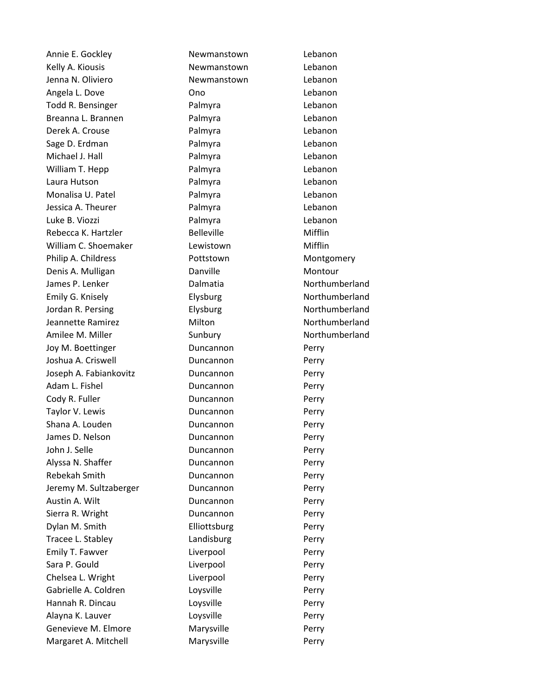Kelly A. Kiousis **Newmanstown** Lebanon Jenna N. Oliviero Newmanstown Lebanon Angela L. Dove **Ono** Christian Cono Christian Lebanon Todd R. Bensinger **Palmyra** Palmyra Lebanon Breanna L. Brannen **Calmyra** Palmyra **Rannen** Lebanon Derek A. Crouse **Details** Palmyra **Contains Lebanon** Sage D. Erdman **Palmyra** Palmyra Palmyra Lebanon Michael J. Hall **Palmyra** Palmyra **Lebanon** William T. Hepp **Palmyra** Palmyra Palmyra Lebanon Laura Hutson **Palmyra** Palmyra Palmyra Lebanon Monalisa U. Patel **Palmyra** Palmyra Rebanon Jessica A. Theurer **Palmyra** Palmyra Lebanon Luke B. Viozzi Palmyra Lebanon Rebecca K. Hartzler **Belleville** Belleville Mifflin William C. Shoemaker Lewistown C. Shoemaker Lewistown Philip A. Childress **Pottstown** Montgomery Denis A. Mulligan **Danville** Danville Montour James P. Lenker Dalmatia Northumberland Emily G. Knisely **Elysburg** Elysburg Northumberland Jordan R. Persing The Elysburg Controller and Elysburg Northumberland Jeannette Ramirez Milton Northumberland Amilee M. Miller Sunbury Sunbury Northumberland Joy M. Boettinger **Duncannon** Perry Joshua A. Criswell **Duncannon** Perry Joseph A. Fabiankovitz Duncannon Perry Adam L. Fishel **Duncannon** Perry Cody R. Fuller **Duncannon** Perry Taylor V. Lewis **Example 2** Duncannon Perry Shana A. Louden **Duncannon** Duncannon Perry James D. Nelson **Duncannon Duncannon** Perry John J. Selle **Duncannon** Perry Alyssa N. Shaffer **Duncannon** Perry Rebekah Smith **Duncannon** Perry Jeremy M. Sultzaberger **Duncannon** Perry Austin A. Wilt **Duncannon** Perry Sierra R. Wright **Duncannon** Perry Dylan M. Smith **Elliottsburg** Perry Tracee L. Stabley **Landisburg** Perry Emily T. Fawver **Liverpool Emily T. Fawver** Sara P. Gould **Liverpool Liverpool** Perry Chelsea L. Wright **Liverpool Chelsea L. Wright** Gabrielle A. Coldren Loysville **Cabrielle A.** Coldren Hannah R. Dincau **Loysville Perry** Alayna K. Lauver **Loysville Loysville** Perry Genevieve M. Elmore **Marysville** Marysville Perry Margaret A. Mitchell **Marysville** Marysville Perry

Annie E. Gockley **Newmanstown** Lebanon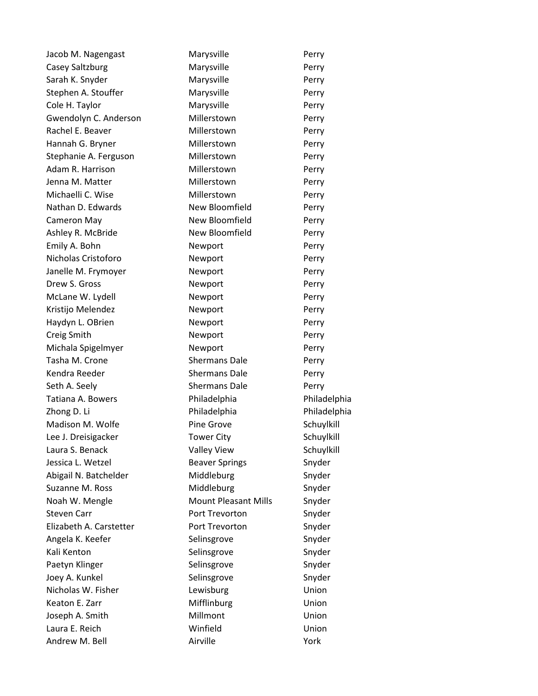Jacob M. Nagengast Marysville Marysville Casey Saltzburg **Marysville Marysville** Perry Sarah K. Snyder **Marysville** Perry Stephen A. Stouffer **Marysville** Marysville Perry Cole H. Taylor **Marysville** Perry Gwendolyn C. Anderson Millerstown Perry Rachel E. Beaver **Millerstown** Perry Hannah G. Bryner **Millerstown** Perry Stephanie A. Ferguson Millerstown Perry Adam R. Harrison **Millerstown** Perry Jenna M. Matter **Millerstown** Perry Michaelli C. Wise **Millerstown** Perry Nathan D. Edwards New Bloomfield Perry Cameron May **New Bloomfield** Perry Ashley R. McBride **New Bloomfield** Perry Emily A. Bohn Newport Perry Nicholas Cristoforo **Newport** Perry Janelle M. Frymoyer **Newport** Perry Drew S. Gross Newport Perry McLane W. Lydell Newport Perry Kristijo Melendez Newport Perry Haydyn L. OBrien Newport Newport Perry Creig Smith **Newport** Perry Michala Spigelmyer **Newport Newport** Perry Tasha M. Crone Shermans Dale Perry Kendra Reeder Shermans Dale Perry Seth A. Seely Shermans Dale Perry Tatiana A. Bowers Philadelphia Philadelphia Zhong D. Li Philadelphia Philadelphia Philadelphia Madison M. Wolfe **Pine Grove** Prove Schuylkill Lee J. Dreisigacker Tower City Schuylkill Laura S. Benack **Valley View** Schuylkill Jessica L. Wetzel **Beaver Springs** Snyder Abigail N. Batchelder Middleburg Middleburg Snyder Suzanne M. Ross Middleburg Middleburg Snyder Noah W. Mengle Mount Pleasant Mills Snyder Steven Carr **Port Trevorton** Snyder Elizabeth A. Carstetter **Port Trevorton** Snyder Angela K. Keefer Selinsgrove Selinsgrove Snyder Kali Kenton Selinsgrove Selinsgrove Snyder Paetyn Klinger Selinsgrove Selinsgrove Snyder Joey A. Kunkel Selinsgrove Selinsgrove Snyder Nicholas W. Fisher **Lewisburg Lewisburg** Union Keaton E. Zarr **Mifflinburg** Union Joseph A. Smith Millmont Millmont Union Laura E. Reich Winfield Union Andrew M. Bell **Airville** Airville **Airville** Mork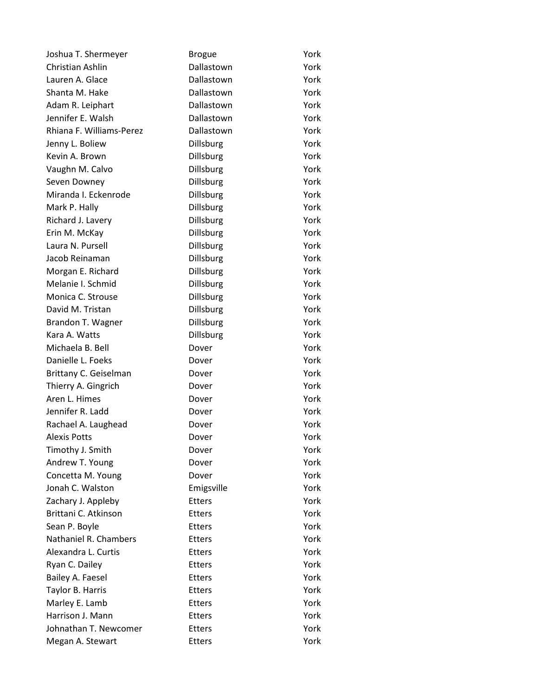| Joshua T. Shermeyer      | <b>Brogue</b>    | York |
|--------------------------|------------------|------|
| Christian Ashlin         | Dallastown       | York |
| Lauren A. Glace          | Dallastown       | York |
| Shanta M. Hake           | Dallastown       | York |
| Adam R. Leiphart         | Dallastown       | York |
| Jennifer E. Walsh        | Dallastown       | York |
| Rhiana F. Williams-Perez | Dallastown       | York |
| Jenny L. Boliew          | Dillsburg        | York |
| Kevin A. Brown           | Dillsburg        | York |
| Vaughn M. Calvo          | Dillsburg        | York |
| Seven Downey             | Dillsburg        | York |
| Miranda I. Eckenrode     | Dillsburg        | York |
| Mark P. Hally            | Dillsburg        | York |
| Richard J. Lavery        | Dillsburg        | York |
| Erin M. McKay            | Dillsburg        | York |
| Laura N. Pursell         | Dillsburg        | York |
| Jacob Reinaman           | Dillsburg        | York |
| Morgan E. Richard        | <b>Dillsburg</b> | York |
| Melanie I. Schmid        | Dillsburg        | York |
| Monica C. Strouse        | Dillsburg        | York |
| David M. Tristan         | Dillsburg        | York |
| Brandon T. Wagner        | Dillsburg        | York |
| Kara A. Watts            | Dillsburg        | York |
| Michaela B. Bell         | Dover            | York |
| Danielle L. Foeks        | Dover            | York |
| Brittany C. Geiselman    | Dover            | York |
| Thierry A. Gingrich      | Dover            | York |
| Aren L. Himes            | Dover            | York |
| Jennifer R. Ladd         | Dover            | York |
| Rachael A. Laughead      | Dover            | York |
| <b>Alexis Potts</b>      | Dover            | York |
| Timothy J. Smith         | Dover            | York |
| Andrew T. Young          | Dover            | York |
| Concetta M. Young        | Dover            | York |
| Jonah C. Walston         | Emigsville       | York |
| Zachary J. Appleby       | <b>Etters</b>    | York |
| Brittani C. Atkinson     | <b>Etters</b>    | York |
| Sean P. Boyle            | <b>Etters</b>    | York |
| Nathaniel R. Chambers    | <b>Etters</b>    | York |
| Alexandra L. Curtis      | <b>Etters</b>    | York |
| Ryan C. Dailey           | <b>Etters</b>    | York |
| Bailey A. Faesel         | <b>Etters</b>    | York |
| Taylor B. Harris         | <b>Etters</b>    | York |
| Marley E. Lamb           | <b>Etters</b>    | York |
| Harrison J. Mann         | <b>Etters</b>    | York |
| Johnathan T. Newcomer    | <b>Etters</b>    | York |
| Megan A. Stewart         | <b>Etters</b>    | York |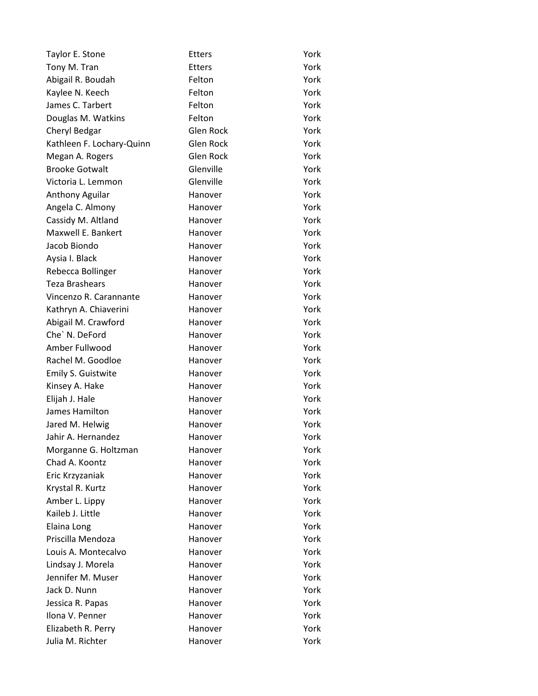| Taylor E. Stone           | <b>Etters</b>    | York |
|---------------------------|------------------|------|
| Tony M. Tran              | <b>Etters</b>    | York |
| Abigail R. Boudah         | Felton           | York |
| Kaylee N. Keech           | Felton           | York |
| James C. Tarbert          | Felton           | York |
| Douglas M. Watkins        | Felton           | York |
| Cheryl Bedgar             | <b>Glen Rock</b> | York |
| Kathleen F. Lochary-Quinn | <b>Glen Rock</b> | York |
| Megan A. Rogers           | <b>Glen Rock</b> | York |
| <b>Brooke Gotwalt</b>     | Glenville        | York |
| Victoria L. Lemmon        | Glenville        | York |
| Anthony Aguilar           | Hanover          | York |
| Angela C. Almony          | Hanover          | York |
| Cassidy M. Altland        | Hanover          | York |
| Maxwell E. Bankert        | Hanover          | York |
| Jacob Biondo              | Hanover          | York |
| Aysia I. Black            | Hanover          | York |
| Rebecca Bollinger         | Hanover          | York |
| <b>Teza Brashears</b>     | Hanover          | York |
| Vincenzo R. Carannante    | Hanover          | York |
| Kathryn A. Chiaverini     | Hanover          | York |
| Abigail M. Crawford       | Hanover          | York |
| Che' N. DeFord            | Hanover          | York |
| Amber Fullwood            | Hanover          | York |
| Rachel M. Goodloe         | Hanover          | York |
| Emily S. Guistwite        | Hanover          | York |
| Kinsey A. Hake            | Hanover          | York |
| Elijah J. Hale            | Hanover          | York |
| James Hamilton            | Hanover          | York |
| Jared M. Helwig           | Hanover          | York |
| Jahir A. Hernandez        | Hanover          | York |
| Morganne G. Holtzman      | Hanover          | York |
| Chad A. Koontz            | Hanover          | York |
| Eric Krzyzaniak           | Hanover          | York |
| Krystal R. Kurtz          | Hanover          | York |
| Amber L. Lippy            | Hanover          | York |
| Kaileb J. Little          | Hanover          | York |
| Elaina Long               | Hanover          | York |
| Priscilla Mendoza         | Hanover          | York |
| Louis A. Montecalvo       | Hanover          | York |
| Lindsay J. Morela         | Hanover          | York |
| Jennifer M. Muser         | Hanover          | York |
| Jack D. Nunn              | Hanover          | York |
| Jessica R. Papas          | Hanover          | York |
| Ilona V. Penner           | Hanover          | York |
| Elizabeth R. Perry        | Hanover          | York |
| Julia M. Richter          | Hanover          | York |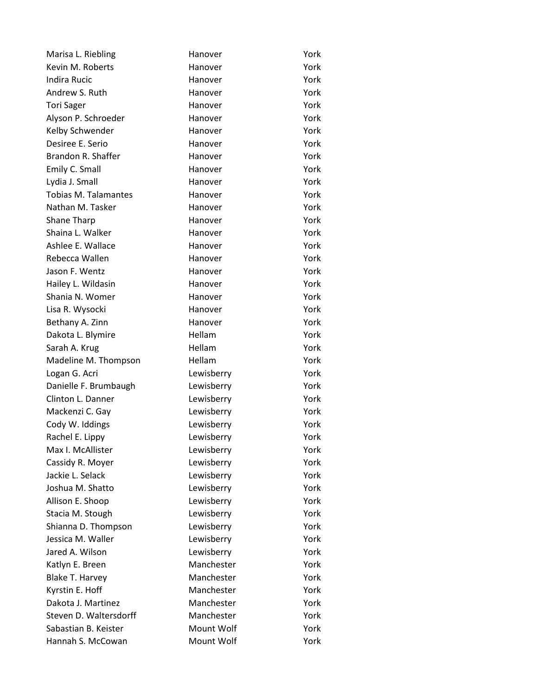| Marisa L. Riebling          | Hanover    | York |
|-----------------------------|------------|------|
| Kevin M. Roberts            | Hanover    | York |
| <b>Indira Rucic</b>         | Hanover    | York |
| Andrew S. Ruth              | Hanover    | York |
| <b>Tori Sager</b>           | Hanover    | York |
| Alyson P. Schroeder         | Hanover    | York |
| Kelby Schwender             | Hanover    | York |
| Desiree E. Serio            | Hanover    | York |
| Brandon R. Shaffer          | Hanover    | York |
| Emily C. Small              | Hanover    | York |
| Lydia J. Small              | Hanover    | York |
| <b>Tobias M. Talamantes</b> | Hanover    | York |
| Nathan M. Tasker            | Hanover    | York |
| Shane Tharp                 | Hanover    | York |
| Shaina L. Walker            | Hanover    | York |
| Ashlee E. Wallace           | Hanover    | York |
| Rebecca Wallen              | Hanover    | York |
| Jason F. Wentz              | Hanover    | York |
| Hailey L. Wildasin          | Hanover    | York |
| Shania N. Womer             | Hanover    | York |
| Lisa R. Wysocki             | Hanover    | York |
| Bethany A. Zinn             | Hanover    | York |
| Dakota L. Blymire           | Hellam     | York |
| Sarah A. Krug               | Hellam     | York |
| Madeline M. Thompson        | Hellam     | York |
| Logan G. Acri               | Lewisberry | York |
| Danielle F. Brumbaugh       | Lewisberry | York |
| Clinton L. Danner           | Lewisberry | York |
| Mackenzi C. Gay             | Lewisberry | York |
| Cody W. Iddings             | Lewisberry | York |
| Rachel E. Lippy             | Lewisberry | York |
| Max I. McAllister           | Lewisberry | York |
| Cassidy R. Moyer            | Lewisberry | York |
| Jackie L. Selack            | Lewisberry | York |
| Joshua M. Shatto            | Lewisberry | York |
| Allison E. Shoop            | Lewisberry | York |
| Stacia M. Stough            | Lewisberry | York |
| Shianna D. Thompson         | Lewisberry | York |
| Jessica M. Waller           | Lewisberry | York |
| Jared A. Wilson             | Lewisberry | York |
| Katlyn E. Breen             | Manchester | York |
| <b>Blake T. Harvey</b>      | Manchester | York |
| Kyrstin E. Hoff             | Manchester | York |
| Dakota J. Martinez          | Manchester | York |
| Steven D. Waltersdorff      | Manchester | York |
| Sabastian B. Keister        | Mount Wolf | York |
| Hannah S. McCowan           | Mount Wolf | York |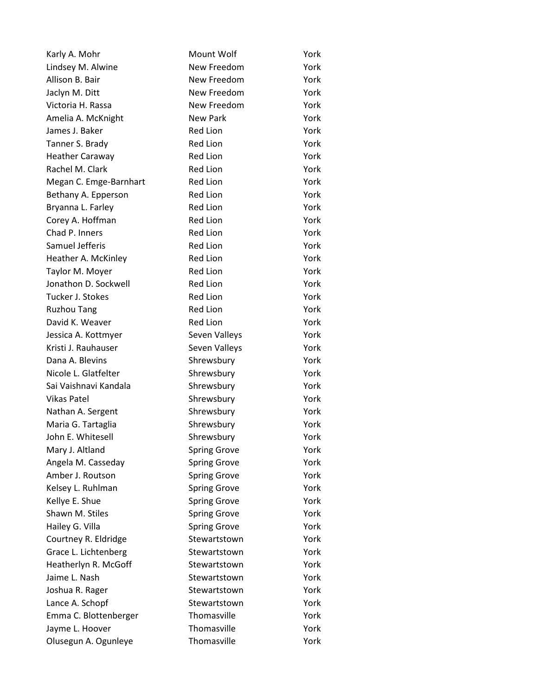| Karly A. Mohr          | Mount Wolf          | York |
|------------------------|---------------------|------|
| Lindsey M. Alwine      | New Freedom         | York |
| Allison B. Bair        | New Freedom         | York |
| Jaclyn M. Ditt         | New Freedom         | York |
| Victoria H. Rassa      | New Freedom         | York |
| Amelia A. McKnight     | New Park            | York |
| James J. Baker         | <b>Red Lion</b>     | York |
| Tanner S. Brady        | Red Lion            | York |
| Heather Caraway        | <b>Red Lion</b>     | York |
| Rachel M. Clark        | Red Lion            | York |
| Megan C. Emge-Barnhart | <b>Red Lion</b>     | York |
| Bethany A. Epperson    | <b>Red Lion</b>     | York |
| Bryanna L. Farley      | <b>Red Lion</b>     | York |
| Corey A. Hoffman       | <b>Red Lion</b>     | York |
| Chad P. Inners         | Red Lion            | York |
| Samuel Jefferis        | <b>Red Lion</b>     | York |
| Heather A. McKinley    | <b>Red Lion</b>     | York |
| Taylor M. Moyer        | <b>Red Lion</b>     | York |
| Jonathon D. Sockwell   | <b>Red Lion</b>     | York |
| Tucker J. Stokes       | Red Lion            | York |
| <b>Ruzhou Tang</b>     | <b>Red Lion</b>     | York |
| David K. Weaver        | <b>Red Lion</b>     | York |
| Jessica A. Kottmyer    | Seven Valleys       | York |
| Kristi J. Rauhauser    | Seven Valleys       | York |
| Dana A. Blevins        | Shrewsbury          | York |
| Nicole L. Glatfelter   | Shrewsbury          | York |
| Sai Vaishnavi Kandala  | Shrewsbury          | York |
| <b>Vikas Patel</b>     | Shrewsbury          | York |
| Nathan A. Sergent      | Shrewsbury          | York |
| Maria G. Tartaglia     | Shrewsbury          | York |
| John E. Whitesell      | Shrewsbury          | York |
| Mary J. Altland        | <b>Spring Grove</b> | York |
| Angela M. Casseday     | <b>Spring Grove</b> | York |
| Amber J. Routson       | <b>Spring Grove</b> | York |
| Kelsey L. Ruhlman      | <b>Spring Grove</b> | York |
| Kellye E. Shue         | <b>Spring Grove</b> | York |
| Shawn M. Stiles        | <b>Spring Grove</b> | York |
| Hailey G. Villa        | <b>Spring Grove</b> | York |
| Courtney R. Eldridge   | Stewartstown        | York |
| Grace L. Lichtenberg   | Stewartstown        | York |
| Heatherlyn R. McGoff   | Stewartstown        | York |
| Jaime L. Nash          | Stewartstown        | York |
| Joshua R. Rager        | Stewartstown        | York |
| Lance A. Schopf        | Stewartstown        | York |
| Emma C. Blottenberger  | Thomasville         | York |
| Jayme L. Hoover        | Thomasville         | York |
| Olusegun A. Ogunleye   | Thomasville         | York |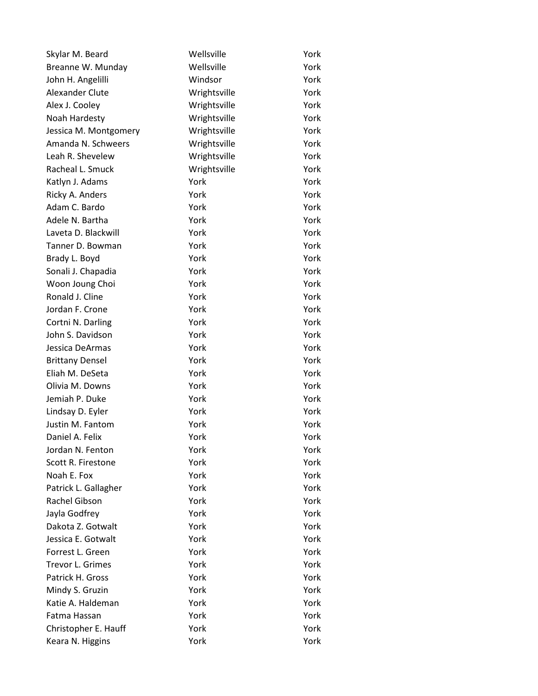| Skylar M. Beard         | Wellsville   | York |
|-------------------------|--------------|------|
| Breanne W. Munday       | Wellsville   | York |
| John H. Angelilli       | Windsor      | York |
| Alexander Clute         | Wrightsville | York |
| Alex J. Cooley          | Wrightsville | York |
| Noah Hardesty           | Wrightsville | York |
| Jessica M. Montgomery   | Wrightsville | York |
| Amanda N. Schweers      | Wrightsville | York |
| Leah R. Shevelew        | Wrightsville | York |
| Racheal L. Smuck        | Wrightsville | York |
| Katlyn J. Adams         | York         | York |
| Ricky A. Anders         | York         | York |
| Adam C. Bardo           | York         | York |
| Adele N. Bartha         | York         | York |
| Laveta D. Blackwill     | York         | York |
| Tanner D. Bowman        | York         | York |
| Brady L. Boyd           | York         | York |
| Sonali J. Chapadia      | York         | York |
| Woon Joung Choi         | York         | York |
| Ronald J. Cline         | York         | York |
| Jordan F. Crone         | York         | York |
| Cortni N. Darling       | York         | York |
| John S. Davidson        | York         | York |
| Jessica DeArmas         | York         | York |
| <b>Brittany Densel</b>  | York         | York |
| Eliah M. DeSeta         | York         | York |
| Olivia M. Downs         | York         | York |
| Jemiah P. Duke          | York         | York |
| Lindsay D. Eyler        | York         | York |
| Justin M. Fantom        | York         | York |
| Daniel A. Felix         | York         | York |
| Jordan N. Fenton        | York         | York |
| Scott R. Firestone      | York         | York |
| Noah E. Fox             | York         | York |
| Patrick L. Gallagher    | York         | York |
| Rachel Gibson           | York         | York |
| Jayla Godfrey           | York         | York |
| Dakota Z. Gotwalt       | York         | York |
| Jessica E. Gotwalt      | York         | York |
| Forrest L. Green        | York         | York |
| <b>Trevor L. Grimes</b> | York         | York |
| Patrick H. Gross        | York         | York |
| Mindy S. Gruzin         | York         | York |
| Katie A. Haldeman       | York         | York |
| Fatma Hassan            | York         | York |
| Christopher E. Hauff    | York         | York |
| Keara N. Higgins        | York         | York |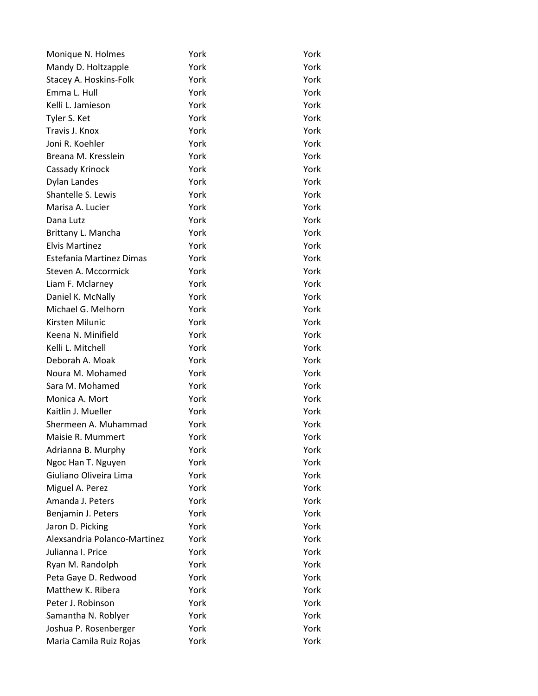| Monique N. Holmes               | York | York |
|---------------------------------|------|------|
| Mandy D. Holtzapple             | York | York |
| Stacey A. Hoskins-Folk          | York | York |
| Emma L. Hull                    | York | York |
| Kelli L. Jamieson               | York | York |
| Tyler S. Ket                    | York | York |
| Travis J. Knox                  | York | York |
| Joni R. Koehler                 | York | York |
| Breana M. Kresslein             | York | York |
| Cassady Krinock                 | York | York |
| Dylan Landes                    | York | York |
| Shantelle S. Lewis              | York | York |
| Marisa A. Lucier                | York | York |
| Dana Lutz                       | York | York |
| Brittany L. Mancha              | York | York |
| <b>Elvis Martinez</b>           | York | York |
| <b>Estefania Martinez Dimas</b> | York | York |
| Steven A. Mccormick             | York | York |
| Liam F. Mclarney                | York | York |
| Daniel K. McNally               | York | York |
| Michael G. Melhorn              | York | York |
| Kirsten Milunic                 | York | York |
| Keena N. Minifield              | York | York |
| Kelli L. Mitchell               | York | York |
| Deborah A. Moak                 | York | York |
| Noura M. Mohamed                | York | York |
| Sara M. Mohamed                 | York | York |
| Monica A. Mort                  | York | York |
| Kaitlin J. Mueller              | York | York |
| Shermeen A. Muhammad            | York | York |
| Maisie R. Mummert               | York | York |
| Adrianna B. Murphy              | York | York |
| Ngoc Han T. Nguyen              | York | York |
| Giuliano Oliveira Lima          | York | York |
| Miguel A. Perez                 | York | York |
| Amanda J. Peters                | York | York |
| Benjamin J. Peters              | York | York |
| Jaron D. Picking                | York | York |
| Alexsandria Polanco-Martinez    | York | York |
| Julianna I. Price               | York | York |
| Ryan M. Randolph                | York | York |
| Peta Gaye D. Redwood            | York | York |
| Matthew K. Ribera               | York | York |
| Peter J. Robinson               | York | York |
| Samantha N. Roblyer             | York | York |
| Joshua P. Rosenberger           | York | York |
| Maria Camila Ruiz Rojas         | York | York |